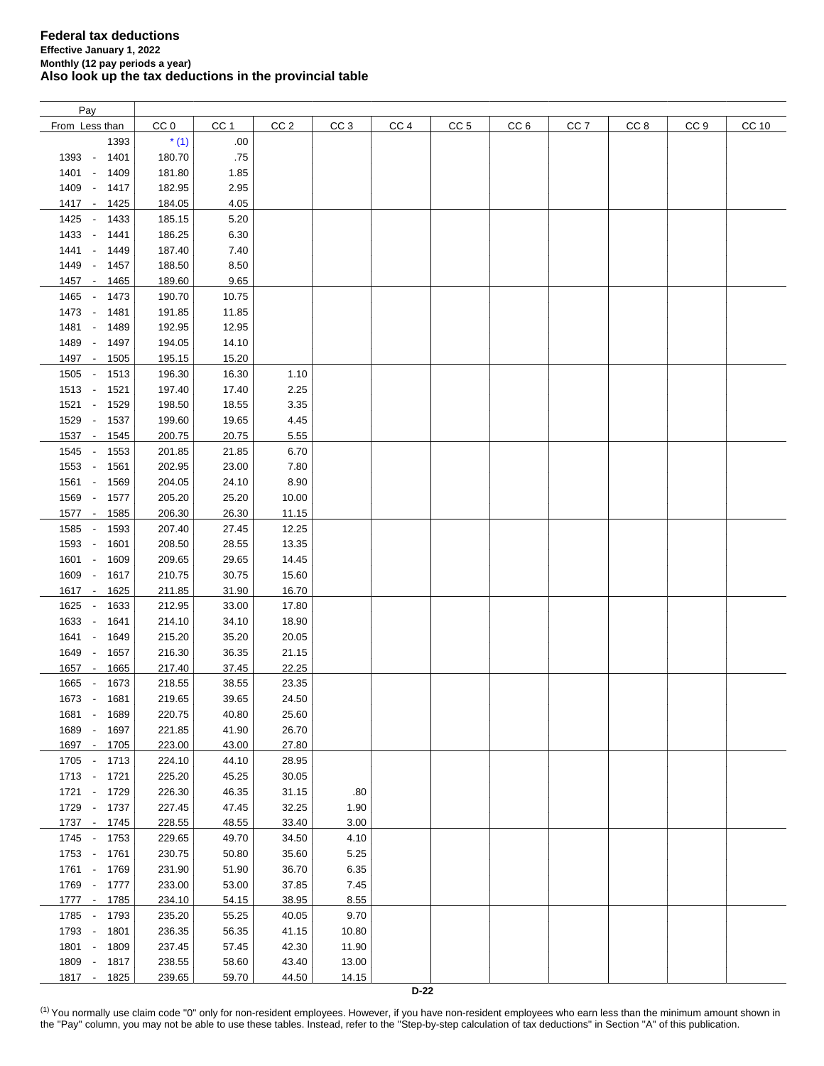| Pay                    |        |       |                 |                 |                 |                 |                 |                 |                 |                 |       |
|------------------------|--------|-------|-----------------|-----------------|-----------------|-----------------|-----------------|-----------------|-----------------|-----------------|-------|
| From Less than         | CC 0   | CC 1  | CC <sub>2</sub> | CC <sub>3</sub> | CC <sub>4</sub> | CC <sub>5</sub> | CC <sub>6</sub> | CC <sub>7</sub> | CC <sub>8</sub> | CC <sub>9</sub> | CC 10 |
| 1393                   | $*(1)$ | .00.  |                 |                 |                 |                 |                 |                 |                 |                 |       |
| 1393 -<br>1401         | 180.70 | .75   |                 |                 |                 |                 |                 |                 |                 |                 |       |
| 1401 -<br>1409         | 181.80 | 1.85  |                 |                 |                 |                 |                 |                 |                 |                 |       |
|                        |        |       |                 |                 |                 |                 |                 |                 |                 |                 |       |
| 1409 - 1417            | 182.95 | 2.95  |                 |                 |                 |                 |                 |                 |                 |                 |       |
| 1417 -<br>1425         | 184.05 | 4.05  |                 |                 |                 |                 |                 |                 |                 |                 |       |
| 1425 -<br>1433         | 185.15 | 5.20  |                 |                 |                 |                 |                 |                 |                 |                 |       |
| 1433 -<br>1441         | 186.25 | 6.30  |                 |                 |                 |                 |                 |                 |                 |                 |       |
| $1441 -$<br>1449       | 187.40 | 7.40  |                 |                 |                 |                 |                 |                 |                 |                 |       |
| 1449 -<br>1457         | 188.50 | 8.50  |                 |                 |                 |                 |                 |                 |                 |                 |       |
| 1457 - 1465            | 189.60 | 9.65  |                 |                 |                 |                 |                 |                 |                 |                 |       |
|                        | 190.70 | 10.75 |                 |                 |                 |                 |                 |                 |                 |                 |       |
| 1465<br>1473<br>$\sim$ |        |       |                 |                 |                 |                 |                 |                 |                 |                 |       |
| 1473 -<br>1481         | 191.85 | 11.85 |                 |                 |                 |                 |                 |                 |                 |                 |       |
| 1481 -<br>1489         | 192.95 | 12.95 |                 |                 |                 |                 |                 |                 |                 |                 |       |
| 1489 -<br>1497         | 194.05 | 14.10 |                 |                 |                 |                 |                 |                 |                 |                 |       |
| 1497 -<br>1505         | 195.15 | 15.20 |                 |                 |                 |                 |                 |                 |                 |                 |       |
| 1505 - 1513            | 196.30 | 16.30 | 1.10            |                 |                 |                 |                 |                 |                 |                 |       |
| 1513 - 1521            | 197.40 | 17.40 | 2.25            |                 |                 |                 |                 |                 |                 |                 |       |
| 1521 - 1529            | 198.50 | 18.55 | 3.35            |                 |                 |                 |                 |                 |                 |                 |       |
| 1529 - 1537            | 199.60 | 19.65 | 4.45            |                 |                 |                 |                 |                 |                 |                 |       |
|                        |        |       |                 |                 |                 |                 |                 |                 |                 |                 |       |
| $1537 -$<br>1545       | 200.75 | 20.75 | 5.55            |                 |                 |                 |                 |                 |                 |                 |       |
| 1545 -<br>1553         | 201.85 | 21.85 | 6.70            |                 |                 |                 |                 |                 |                 |                 |       |
| 1553 -<br>1561         | 202.95 | 23.00 | 7.80            |                 |                 |                 |                 |                 |                 |                 |       |
| 1561 -<br>1569         | 204.05 | 24.10 | 8.90            |                 |                 |                 |                 |                 |                 |                 |       |
| 1569 -<br>1577         | 205.20 | 25.20 | 10.00           |                 |                 |                 |                 |                 |                 |                 |       |
| 1577 -<br>1585         | 206.30 | 26.30 | 11.15           |                 |                 |                 |                 |                 |                 |                 |       |
| 1585 -<br>1593         | 207.40 | 27.45 | 12.25           |                 |                 |                 |                 |                 |                 |                 |       |
| 1593 -<br>1601         | 208.50 | 28.55 | 13.35           |                 |                 |                 |                 |                 |                 |                 |       |
| 1601 -<br>1609         | 209.65 | 29.65 | 14.45           |                 |                 |                 |                 |                 |                 |                 |       |
| 1609 -<br>1617         | 210.75 | 30.75 | 15.60           |                 |                 |                 |                 |                 |                 |                 |       |
|                        |        |       |                 |                 |                 |                 |                 |                 |                 |                 |       |
| 1617 -<br>1625         | 211.85 | 31.90 | 16.70           |                 |                 |                 |                 |                 |                 |                 |       |
| 1625 -<br>1633         | 212.95 | 33.00 | 17.80           |                 |                 |                 |                 |                 |                 |                 |       |
| 1633 -<br>1641         | 214.10 | 34.10 | 18.90           |                 |                 |                 |                 |                 |                 |                 |       |
| 1641 -<br>1649         | 215.20 | 35.20 | 20.05           |                 |                 |                 |                 |                 |                 |                 |       |
| 1649 -<br>1657         | 216.30 | 36.35 | 21.15           |                 |                 |                 |                 |                 |                 |                 |       |
| 1657 -<br>1665         | 217.40 | 37.45 | 22.25           |                 |                 |                 |                 |                 |                 |                 |       |
| 1665 -<br>1673         | 218.55 | 38.55 | 23.35           |                 |                 |                 |                 |                 |                 |                 |       |
| 1673 -<br>1681         | 219.65 | 39.65 | 24.50           |                 |                 |                 |                 |                 |                 |                 |       |
| 1681 -<br>1689         | 220.75 | 40.80 | 25.60           |                 |                 |                 |                 |                 |                 |                 |       |
|                        |        |       |                 |                 |                 |                 |                 |                 |                 |                 |       |
| 1689 -<br>1697         | 221.85 | 41.90 | 26.70           |                 |                 |                 |                 |                 |                 |                 |       |
| 1697 -<br>1705         | 223.00 | 43.00 | 27.80           |                 |                 |                 |                 |                 |                 |                 |       |
| 1705 - 1713            | 224.10 | 44.10 | 28.95           |                 |                 |                 |                 |                 |                 |                 |       |
| 1713 - 1721            | 225.20 | 45.25 | 30.05           |                 |                 |                 |                 |                 |                 |                 |       |
| 1721 -<br>1729         | 226.30 | 46.35 | 31.15           | .80             |                 |                 |                 |                 |                 |                 |       |
| 1729 -<br>1737         | 227.45 | 47.45 | 32.25           | 1.90            |                 |                 |                 |                 |                 |                 |       |
| 1737 - 1745            | 228.55 | 48.55 | 33.40           | 3.00            |                 |                 |                 |                 |                 |                 |       |
| 1745 - 1753            | 229.65 | 49.70 | 34.50           | 4.10            |                 |                 |                 |                 |                 |                 |       |
| 1753 - 1761            | 230.75 | 50.80 | 35.60           | 5.25            |                 |                 |                 |                 |                 |                 |       |
| 1761 - 1769            | 231.90 | 51.90 | 36.70           | 6.35            |                 |                 |                 |                 |                 |                 |       |
| 1769 -                 |        | 53.00 |                 |                 |                 |                 |                 |                 |                 |                 |       |
| 1777                   | 233.00 |       | 37.85           | 7.45            |                 |                 |                 |                 |                 |                 |       |
| 1777 - 1785            | 234.10 | 54.15 | 38.95           | 8.55            |                 |                 |                 |                 |                 |                 |       |
| 1785 - 1793            | 235.20 | 55.25 | 40.05           | 9.70            |                 |                 |                 |                 |                 |                 |       |
| 1793 - 1801            | 236.35 | 56.35 | 41.15           | 10.80           |                 |                 |                 |                 |                 |                 |       |
| 1801 - 1809            | 237.45 | 57.45 | 42.30           | 11.90           |                 |                 |                 |                 |                 |                 |       |
| 1809 - 1817            | 238.55 | 58.60 | 43.40           | 13.00           |                 |                 |                 |                 |                 |                 |       |
| 1817 - 1825            | 239.65 | 59.70 | 44.50           | 14.15           |                 |                 |                 |                 |                 |                 |       |
|                        |        |       |                 |                 | $D-22$          |                 |                 |                 |                 |                 |       |

<span id="page-0-0"></span><sup>(1)</sup> You normally use claim code "0" only for non-resident employees. However, if you have non-resident employees who earn less than the minimum amount shown in the "Pay" column, you may not be able to use these tables. Instead, refer to the "Step-by-step calculation of tax deductions" in Section "A" of this publication.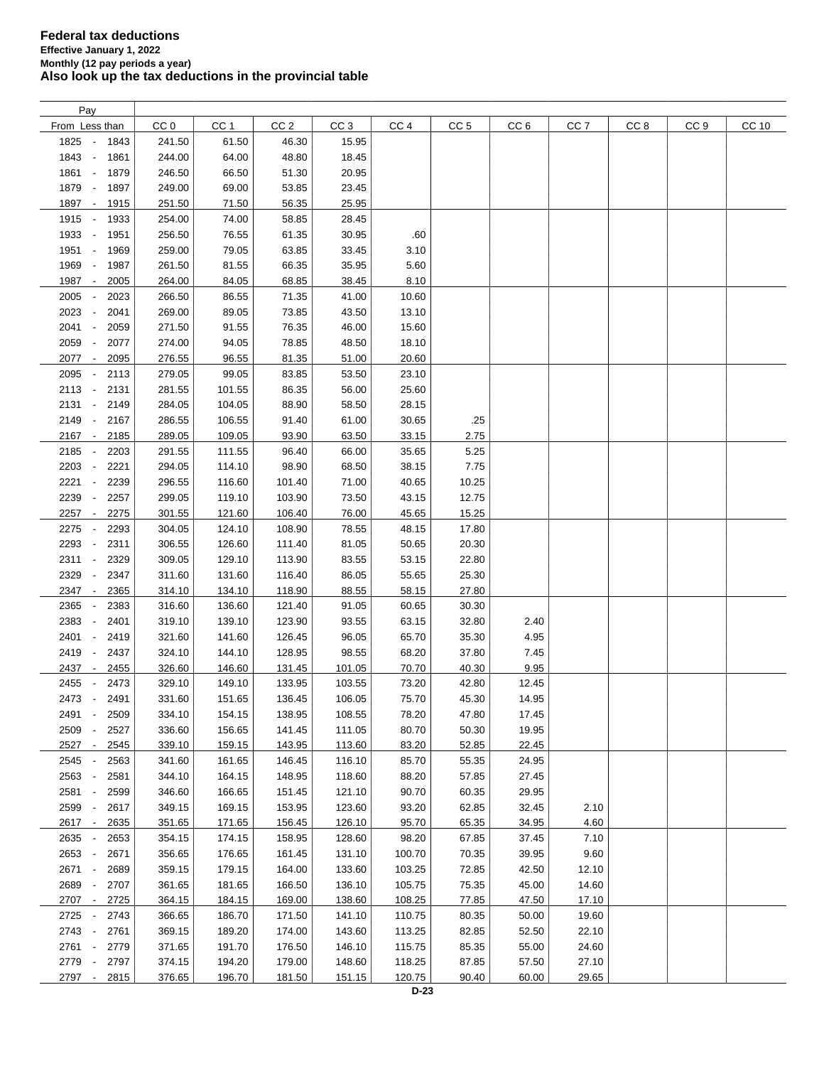| Pay                                      |        |        |                 |                 |        |                 |                 |                 |                 |      |       |
|------------------------------------------|--------|--------|-----------------|-----------------|--------|-----------------|-----------------|-----------------|-----------------|------|-------|
| From Less than                           | CC 0   | CC 1   | CC <sub>2</sub> | CC <sub>3</sub> | CC 4   | CC <sub>5</sub> | CC <sub>6</sub> | CC <sub>7</sub> | CC <sub>8</sub> | CC 9 | CC 10 |
| 1825 -<br>1843                           | 241.50 | 61.50  | 46.30           | 15.95           |        |                 |                 |                 |                 |      |       |
| 1843 -<br>1861                           | 244.00 | 64.00  | 48.80           | 18.45           |        |                 |                 |                 |                 |      |       |
| 1861<br>1879<br>$\overline{\phantom{a}}$ | 246.50 | 66.50  | 51.30           | 20.95           |        |                 |                 |                 |                 |      |       |
| 1879<br>1897<br>$\overline{\phantom{a}}$ | 249.00 | 69.00  | 53.85           | 23.45           |        |                 |                 |                 |                 |      |       |
| 1897<br>1915<br>$\overline{\phantom{a}}$ | 251.50 | 71.50  | 56.35           | 25.95           |        |                 |                 |                 |                 |      |       |
| 1915 -<br>1933                           | 254.00 | 74.00  | 58.85           | 28.45           |        |                 |                 |                 |                 |      |       |
| 1933<br>$\overline{\phantom{a}}$<br>1951 | 256.50 | 76.55  | 61.35           | 30.95           | .60    |                 |                 |                 |                 |      |       |
|                                          |        |        |                 |                 |        |                 |                 |                 |                 |      |       |
| 1951 -<br>1969                           | 259.00 | 79.05  | 63.85           | 33.45           | 3.10   |                 |                 |                 |                 |      |       |
| 1969<br>1987<br>$\sim$                   | 261.50 | 81.55  | 66.35           | 35.95           | 5.60   |                 |                 |                 |                 |      |       |
| 1987<br>2005<br>$\sim$                   | 264.00 | 84.05  | 68.85           | 38.45           | 8.10   |                 |                 |                 |                 |      |       |
| 2005<br>2023                             | 266.50 | 86.55  | 71.35           | 41.00           | 10.60  |                 |                 |                 |                 |      |       |
| 2023<br>2041                             | 269.00 | 89.05  | 73.85           | 43.50           | 13.10  |                 |                 |                 |                 |      |       |
| 2041<br>2059                             | 271.50 | 91.55  | 76.35           | 46.00           | 15.60  |                 |                 |                 |                 |      |       |
| 2059<br>2077                             | 274.00 | 94.05  | 78.85           | 48.50           | 18.10  |                 |                 |                 |                 |      |       |
| 2077 -<br>2095                           | 276.55 | 96.55  | 81.35           | 51.00           | 20.60  |                 |                 |                 |                 |      |       |
| 2095<br>2113<br>$\overline{\phantom{a}}$ | 279.05 | 99.05  | 83.85           | 53.50           | 23.10  |                 |                 |                 |                 |      |       |
| 2113 -<br>2131                           | 281.55 | 101.55 | 86.35           | 56.00           | 25.60  |                 |                 |                 |                 |      |       |
| $2131 -$<br>2149                         | 284.05 | 104.05 | 88.90           | 58.50           | 28.15  |                 |                 |                 |                 |      |       |
| 2149 -<br>2167                           | 286.55 | 106.55 | 91.40           | 61.00           | 30.65  | .25             |                 |                 |                 |      |       |
| 2167 -<br>2185                           | 289.05 | 109.05 | 93.90           | 63.50           | 33.15  | 2.75            |                 |                 |                 |      |       |
| 2185<br>2203<br>$\overline{\phantom{a}}$ | 291.55 | 111.55 | 96.40           | 66.00           | 35.65  | 5.25            |                 |                 |                 |      |       |
| 2203<br>2221<br>$\overline{\phantom{a}}$ | 294.05 | 114.10 | 98.90           | 68.50           | 38.15  | 7.75            |                 |                 |                 |      |       |
| 2221<br>2239                             | 296.55 | 116.60 | 101.40          | 71.00           | 40.65  | 10.25           |                 |                 |                 |      |       |
| 2239<br>2257                             | 299.05 | 119.10 | 103.90          | 73.50           | 43.15  | 12.75           |                 |                 |                 |      |       |
| 2257 -<br>2275                           | 301.55 | 121.60 | 106.40          | 76.00           | 45.65  | 15.25           |                 |                 |                 |      |       |
| 2275<br>2293                             | 304.05 | 124.10 | 108.90          | 78.55           | 48.15  | 17.80           |                 |                 |                 |      |       |
| 2293<br>2311                             | 306.55 | 126.60 | 111.40          | 81.05           | 50.65  | 20.30           |                 |                 |                 |      |       |
| 2311<br>2329                             | 309.05 | 129.10 | 113.90          | 83.55           | 53.15  | 22.80           |                 |                 |                 |      |       |
| 2329<br>2347                             | 311.60 | 131.60 | 116.40          | 86.05           | 55.65  | 25.30           |                 |                 |                 |      |       |
| $\overline{\phantom{a}}$                 |        |        |                 |                 |        |                 |                 |                 |                 |      |       |
| 2347<br>2365                             | 314.10 | 134.10 | 118.90          | 88.55           | 58.15  | 27.80           |                 |                 |                 |      |       |
| 2365<br>2383<br>$\overline{\phantom{a}}$ | 316.60 | 136.60 | 121.40          | 91.05           | 60.65  | 30.30           |                 |                 |                 |      |       |
| 2383<br>2401<br>$\overline{\phantom{a}}$ | 319.10 | 139.10 | 123.90          | 93.55           | 63.15  | 32.80           | 2.40            |                 |                 |      |       |
| 2401<br>2419<br>$\overline{\phantom{a}}$ | 321.60 | 141.60 | 126.45          | 96.05           | 65.70  | 35.30           | 4.95            |                 |                 |      |       |
| 2419<br>2437<br>$\overline{\phantom{a}}$ | 324.10 | 144.10 | 128.95          | 98.55           | 68.20  | 37.80           | 7.45            |                 |                 |      |       |
| 2437<br>2455<br>$\overline{\phantom{a}}$ | 326.60 | 146.60 | 131.45          | 101.05          | 70.70  | 40.30           | 9.95            |                 |                 |      |       |
| 2455<br>2473                             | 329.10 | 149.10 | 133.95          | 103.55          | 73.20  | 42.80           | 12.45           |                 |                 |      |       |
| 2473 -<br>2491                           | 331.60 | 151.65 | 136.45          | 106.05          | 75.70  | 45.30           | 14.95           |                 |                 |      |       |
| 2491<br>$\overline{\phantom{a}}$<br>2509 | 334.10 | 154.15 | 138.95          | 108.55          | 78.20  | 47.80           | 17.45           |                 |                 |      |       |
| 2527<br>2509                             | 336.60 | 156.65 | 141.45          | 111.05          | 80.70  | 50.30           | 19.95           |                 |                 |      |       |
| 2527<br>2545<br>$\overline{\phantom{a}}$ | 339.10 | 159.15 | 143.95          | 113.60          | 83.20  | 52.85           | 22.45           |                 |                 |      |       |
| 2545<br>2563                             | 341.60 | 161.65 | 146.45          | 116.10          | 85.70  | 55.35           | 24.95           |                 |                 |      |       |
| 2563<br>2581<br>$\overline{\phantom{a}}$ | 344.10 | 164.15 | 148.95          | 118.60          | 88.20  | 57.85           | 27.45           |                 |                 |      |       |
| 2581<br>2599<br>$\overline{\phantom{a}}$ | 346.60 | 166.65 | 151.45          | 121.10          | 90.70  | 60.35           | 29.95           |                 |                 |      |       |
| 2599<br>$\overline{\phantom{a}}$<br>2617 | 349.15 | 169.15 | 153.95          | 123.60          | 93.20  | 62.85           | 32.45           | 2.10            |                 |      |       |
| 2617 -<br>2635                           | 351.65 | 171.65 | 156.45          | 126.10          | 95.70  | 65.35           | 34.95           | 4.60            |                 |      |       |
| 2635<br>2653                             | 354.15 | 174.15 | 158.95          | 128.60          | 98.20  | 67.85           | 37.45           | 7.10            |                 |      |       |
| 2653<br>2671<br>$\overline{\phantom{a}}$ | 356.65 | 176.65 | 161.45          | 131.10          | 100.70 | 70.35           | 39.95           | 9.60            |                 |      |       |
| 2671<br>2689<br>$\overline{\phantom{a}}$ | 359.15 | 179.15 | 164.00          | 133.60          | 103.25 | 72.85           | 42.50           | 12.10           |                 |      |       |
| 2689<br>2707                             | 361.65 | 181.65 | 166.50          | 136.10          | 105.75 | 75.35           | 45.00           | 14.60           |                 |      |       |
| 2707 -<br>2725                           | 364.15 | 184.15 | 169.00          | 138.60          | 108.25 | 77.85           | 47.50           | 17.10           |                 |      |       |
| 2725 -<br>2743                           | 366.65 | 186.70 | 171.50          | 141.10          | 110.75 | 80.35           | 50.00           | 19.60           |                 |      |       |
| 2743 -<br>2761                           | 369.15 | 189.20 | 174.00          | 143.60          | 113.25 | 82.85           | 52.50           | 22.10           |                 |      |       |
| 2761 -<br>2779                           | 371.65 | 191.70 | 176.50          | 146.10          | 115.75 | 85.35           | 55.00           | 24.60           |                 |      |       |
| 2779 -<br>2797                           | 374.15 | 194.20 | 179.00          | 148.60          | 118.25 | 87.85           | 57.50           | 27.10           |                 |      |       |
|                                          |        |        |                 |                 |        |                 |                 |                 |                 |      |       |
| 2797 -<br>2815                           | 376.65 | 196.70 | 181.50          | 151.15          | 120.75 | 90.40           | 60.00           | 29.65           |                 |      |       |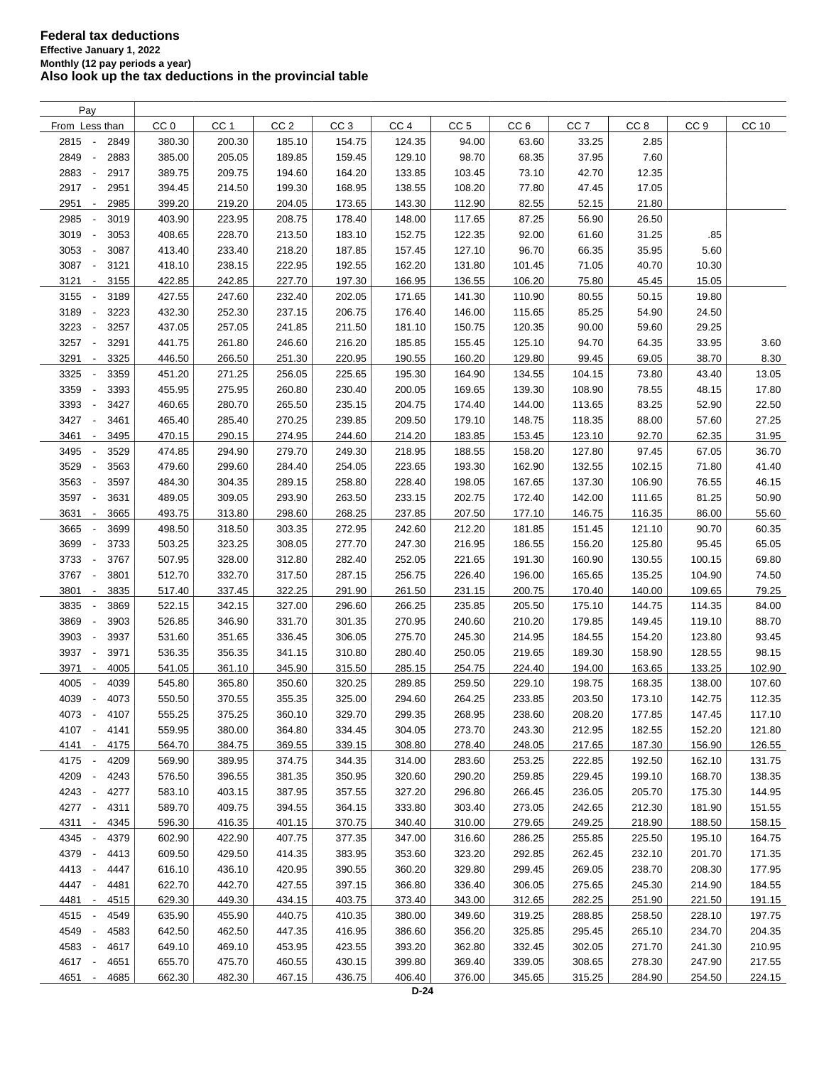| Pay                                      |                 |                 |                 |                 |                 |                 |                 |                 |                 |                 |              |
|------------------------------------------|-----------------|-----------------|-----------------|-----------------|-----------------|-----------------|-----------------|-----------------|-----------------|-----------------|--------------|
| From Less than                           | CC <sub>0</sub> | CC <sub>1</sub> | CC <sub>2</sub> | CC <sub>3</sub> | CC <sub>4</sub> | CC <sub>5</sub> | CC <sub>6</sub> | CC <sub>7</sub> | CC <sub>8</sub> | CC <sub>9</sub> | <b>CC 10</b> |
| 2815<br>2849<br>$\overline{\phantom{a}}$ | 380.30          | 200.30          | 185.10          | 154.75          | 124.35          | 94.00           | 63.60           | 33.25           | 2.85            |                 |              |
| 2849<br>2883<br>$\overline{\phantom{a}}$ | 385.00          | 205.05          | 189.85          | 159.45          | 129.10          | 98.70           | 68.35           | 37.95           | 7.60            |                 |              |
| 2883<br>2917                             | 389.75          | 209.75          | 194.60          | 164.20          | 133.85          | 103.45          | 73.10           | 42.70           | 12.35           |                 |              |
| 2917<br>2951<br>$\overline{\phantom{a}}$ | 394.45          | 214.50          | 199.30          | 168.95          | 138.55          | 108.20          | 77.80           | 47.45           | 17.05           |                 |              |
| 2951<br>2985<br>$\overline{\phantom{a}}$ | 399.20          | 219.20          | 204.05          | 173.65          | 143.30          | 112.90          | 82.55           | 52.15           | 21.80           |                 |              |
| 2985<br>3019                             | 403.90          | 223.95          | 208.75          | 178.40          | 148.00          | 117.65          | 87.25           | 56.90           | 26.50           |                 |              |
| 3019<br>3053<br>$\overline{\phantom{a}}$ | 408.65          | 228.70          | 213.50          | 183.10          | 152.75          | 122.35          | 92.00           | 61.60           | 31.25           | .85             |              |
|                                          |                 |                 |                 |                 |                 |                 |                 |                 |                 |                 |              |
| 3053<br>3087<br>$\overline{\phantom{a}}$ | 413.40          | 233.40          | 218.20          | 187.85          | 157.45          | 127.10          | 96.70           | 66.35           | 35.95           | 5.60            |              |
| 3087<br>$\blacksquare$<br>3121           | 418.10          | 238.15          | 222.95          | 192.55          | 162.20          | 131.80          | 101.45          | 71.05           | 40.70           | 10.30           |              |
| 3121<br>3155<br>$\sim$                   | 422.85          | 242.85          | 227.70          | 197.30          | 166.95          | 136.55          | 106.20          | 75.80           | 45.45           | 15.05           |              |
| 3155<br>3189<br>$\overline{\phantom{a}}$ | 427.55          | 247.60          | 232.40          | 202.05          | 171.65          | 141.30          | 110.90          | 80.55           | 50.15           | 19.80           |              |
| 3189<br>3223<br>$\overline{\phantom{a}}$ | 432.30          | 252.30          | 237.15          | 206.75          | 176.40          | 146.00          | 115.65          | 85.25           | 54.90           | 24.50           |              |
| 3223<br>3257<br>$\overline{\phantom{a}}$ | 437.05          | 257.05          | 241.85          | 211.50          | 181.10          | 150.75          | 120.35          | 90.00           | 59.60           | 29.25           |              |
| 3257<br>3291<br>$\overline{\phantom{a}}$ | 441.75          | 261.80          | 246.60          | 216.20          | 185.85          | 155.45          | 125.10          | 94.70           | 64.35           | 33.95           | 3.60         |
| 3291<br>3325<br>$\overline{\phantom{a}}$ | 446.50          | 266.50          | 251.30          | 220.95          | 190.55          | 160.20          | 129.80          | 99.45           | 69.05           | 38.70           | 8.30         |
| 3325<br>3359                             | 451.20          | 271.25          | 256.05          | 225.65          | 195.30          | 164.90          | 134.55          | 104.15          | 73.80           | 43.40           | 13.05        |
| 3359<br>3393<br>$\overline{\phantom{a}}$ | 455.95          | 275.95          | 260.80          | 230.40          | 200.05          | 169.65          | 139.30          | 108.90          | 78.55           | 48.15           | 17.80        |
| 3393<br>3427<br>$\overline{\phantom{a}}$ | 460.65          | 280.70          | 265.50          | 235.15          | 204.75          | 174.40          | 144.00          | 113.65          | 83.25           | 52.90           | 22.50        |
| 3427<br>$\overline{\phantom{a}}$<br>3461 | 465.40          | 285.40          | 270.25          | 239.85          | 209.50          | 179.10          | 148.75          | 118.35          | 88.00           | 57.60           | 27.25        |
| 3461<br>3495<br>$\overline{\phantom{a}}$ | 470.15          | 290.15          | 274.95          | 244.60          | 214.20          | 183.85          | 153.45          | 123.10          | 92.70           | 62.35           | 31.95        |
| 3495<br>3529<br>$\overline{\phantom{a}}$ | 474.85          | 294.90          | 279.70          | 249.30          | 218.95          | 188.55          | 158.20          | 127.80          | 97.45           | 67.05           | 36.70        |
| 3529<br>3563<br>$\overline{\phantom{a}}$ | 479.60          | 299.60          | 284.40          | 254.05          | 223.65          | 193.30          | 162.90          | 132.55          | 102.15          | 71.80           | 41.40        |
| 3563<br>3597<br>$\overline{\phantom{a}}$ | 484.30          | 304.35          | 289.15          | 258.80          | 228.40          | 198.05          | 167.65          | 137.30          | 106.90          | 76.55           | 46.15        |
| 3597<br>3631<br>$\overline{\phantom{a}}$ | 489.05          | 309.05          | 293.90          | 263.50          | 233.15          | 202.75          | 172.40          | 142.00          | 111.65          | 81.25           | 50.90        |
| 3631<br>3665<br>$\overline{\phantom{a}}$ | 493.75          | 313.80          | 298.60          | 268.25          | 237.85          | 207.50          | 177.10          | 146.75          | 116.35          | 86.00           | 55.60        |
| 3665<br>3699                             | 498.50          | 318.50          | 303.35          | 272.95          | 242.60          | 212.20          | 181.85          | 151.45          | 121.10          | 90.70           | 60.35        |
| 3699<br>3733                             | 503.25          | 323.25          | 308.05          | 277.70          | 247.30          | 216.95          | 186.55          | 156.20          | 125.80          | 95.45           | 65.05        |
|                                          |                 |                 |                 |                 |                 |                 |                 |                 |                 |                 |              |
| 3733<br>3767<br>$\overline{\phantom{a}}$ | 507.95          | 328.00          | 312.80          | 282.40          | 252.05          | 221.65          | 191.30          | 160.90          | 130.55          | 100.15          | 69.80        |
| 3767<br>3801<br>$\overline{\phantom{a}}$ | 512.70          | 332.70          | 317.50          | 287.15          | 256.75          | 226.40          | 196.00          | 165.65          | 135.25          | 104.90          | 74.50        |
| 3801<br>3835<br>$\overline{\phantom{a}}$ | 517.40          | 337.45          | 322.25          | 291.90          | 261.50          | 231.15          | 200.75          | 170.40          | 140.00          | 109.65          | 79.25        |
| 3835<br>3869<br>$\overline{\phantom{a}}$ | 522.15          | 342.15          | 327.00          | 296.60          | 266.25          | 235.85          | 205.50          | 175.10          | 144.75          | 114.35          | 84.00        |
| 3869<br>3903<br>$\overline{\phantom{a}}$ | 526.85          | 346.90          | 331.70          | 301.35          | 270.95          | 240.60          | 210.20          | 179.85          | 149.45          | 119.10          | 88.70        |
| 3903<br>3937<br>$\overline{\phantom{a}}$ | 531.60          | 351.65          | 336.45          | 306.05          | 275.70          | 245.30          | 214.95          | 184.55          | 154.20          | 123.80          | 93.45        |
| 3937<br>3971<br>$\overline{\phantom{a}}$ | 536.35          | 356.35          | 341.15          | 310.80          | 280.40          | 250.05          | 219.65          | 189.30          | 158.90          | 128.55          | 98.15        |
| 3971<br>4005<br>$\overline{\phantom{a}}$ | 541.05          | 361.10          | 345.90          | 315.50          | 285.15          | 254.75          | 224.40          | 194.00          | 163.65          | 133.25          | 102.90       |
| 4005<br>4039                             | 545.80          | 365.80          | 350.60          | 320.25          | 289.85          | 259.50          | 229.10          | 198.75          | 168.35          | 138.00          | 107.60       |
| 4039<br>4073<br>$\overline{\phantom{a}}$ | 550.50          | 370.55          | 355.35          | 325.00          | 294.60          | 264.25          | 233.85          | 203.50          | 173.10          | 142.75          | 112.35       |
| 4073 -<br>4107                           | 555.25          | 375.25          | 360.10          | 329.70          | 299.35          | 268.95          | 238.60          | 208.20          | 177.85          | 147.45          | 117.10       |
| 4107 -<br>4141                           | 559.95          | 380.00          | 364.80          | 334.45          | 304.05          | 273.70          | 243.30          | 212.95          | 182.55          | 152.20          | 121.80       |
| 4141 -<br>4175                           | 564.70          | 384.75          | 369.55          | 339.15          | 308.80          | 278.40          | 248.05          | 217.65          | 187.30          | 156.90          | 126.55       |
| 4175<br>4209<br>$\overline{\phantom{a}}$ | 569.90          | 389.95          | 374.75          | 344.35          | 314.00          | 283.60          | 253.25          | 222.85          | 192.50          | 162.10          | 131.75       |
| 4209<br>4243<br>$\overline{\phantom{a}}$ | 576.50          | 396.55          | 381.35          | 350.95          | 320.60          | 290.20          | 259.85          | 229.45          | 199.10          | 168.70          | 138.35       |
| 4243<br>4277<br>$\overline{\phantom{a}}$ | 583.10          | 403.15          | 387.95          | 357.55          | 327.20          | 296.80          | 266.45          | 236.05          | 205.70          | 175.30          | 144.95       |
| 4277<br>$\overline{\phantom{a}}$<br>4311 | 589.70          | 409.75          | 394.55          | 364.15          | 333.80          | 303.40          | 273.05          | 242.65          | 212.30          | 181.90          | 151.55       |
| 4311<br>4345<br>$\sim$                   | 596.30          | 416.35          | 401.15          | 370.75          | 340.40          | 310.00          | 279.65          | 249.25          | 218.90          | 188.50          | 158.15       |
| 4345<br>4379<br>$\overline{\phantom{a}}$ | 602.90          | 422.90          | 407.75          | 377.35          | 347.00          | 316.60          | 286.25          | 255.85          | 225.50          | 195.10          | 164.75       |
| 4379<br>4413<br>$\overline{\phantom{a}}$ | 609.50          | 429.50          | 414.35          | 383.95          | 353.60          | 323.20          | 292.85          | 262.45          | 232.10          | 201.70          | 171.35       |
| 4413<br>4447<br>$\overline{\phantom{a}}$ | 616.10          | 436.10          | 420.95          | 390.55          | 360.20          | 329.80          | 299.45          | 269.05          | 238.70          | 208.30          | 177.95       |
| 4447<br>4481<br>$\overline{\phantom{a}}$ | 622.70          | 442.70          | 427.55          | 397.15          | 366.80          | 336.40          | 306.05          | 275.65          | 245.30          | 214.90          | 184.55       |
|                                          |                 |                 |                 |                 |                 |                 |                 |                 |                 |                 |              |
| 4481 -<br>4515                           | 629.30          | 449.30          | 434.15          | 403.75          | 373.40          | 343.00          | 312.65          | 282.25          | 251.90          | 221.50          | 191.15       |
| 4515<br>4549<br>$\overline{\phantom{a}}$ | 635.90          | 455.90          | 440.75          | 410.35          | 380.00          | 349.60          | 319.25          | 288.85          | 258.50          | 228.10          | 197.75       |
| 4549<br>4583                             | 642.50          | 462.50          | 447.35          | 416.95          | 386.60          | 356.20          | 325.85          | 295.45          | 265.10          | 234.70          | 204.35       |
| 4583<br>4617<br>$\overline{\phantom{a}}$ | 649.10          | 469.10          | 453.95          | 423.55          | 393.20          | 362.80          | 332.45          | 302.05          | 271.70          | 241.30          | 210.95       |
| 4617<br>4651<br>$\overline{\phantom{a}}$ | 655.70          | 475.70          | 460.55          | 430.15          | 399.80          | 369.40          | 339.05          | 308.65          | 278.30          | 247.90          | 217.55       |
| 4651 -<br>4685                           | 662.30          | 482.30          | 467.15          | 436.75          | 406.40          | 376.00          | 345.65          | 315.25          | 284.90          | 254.50          | 224.15       |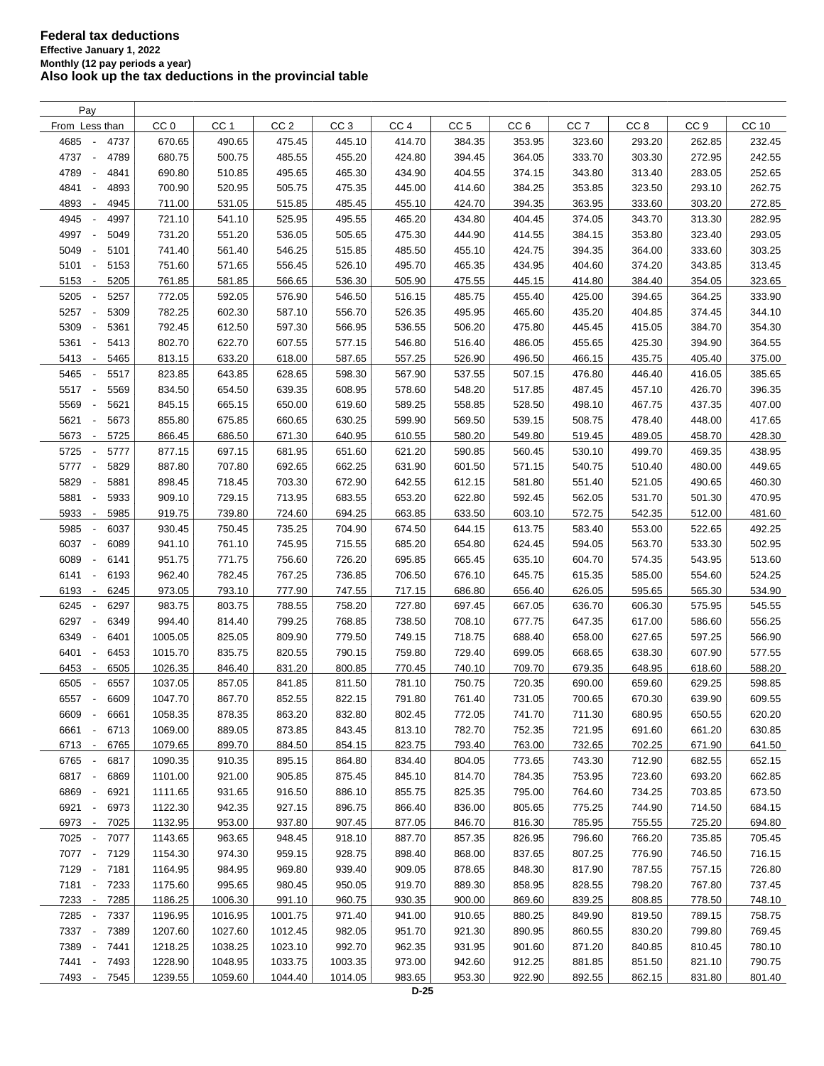| Pay                                      |                 |                  |                 |                 |                  |                 |                 |                 |                 |                 |        |
|------------------------------------------|-----------------|------------------|-----------------|-----------------|------------------|-----------------|-----------------|-----------------|-----------------|-----------------|--------|
| From Less than                           | CC <sub>0</sub> | CC <sub>1</sub>  | CC <sub>2</sub> | CC <sub>3</sub> | CC <sub>4</sub>  | CC <sub>5</sub> | CC <sub>6</sub> | CC <sub>7</sub> | CC <sub>8</sub> | CC <sub>9</sub> | CC 10  |
| 4685<br>4737<br>$\overline{\phantom{a}}$ | 670.65          | 490.65           | 475.45          | 445.10          | 414.70           | 384.35          | 353.95          | 323.60          | 293.20          | 262.85          | 232.45 |
| 4737<br>4789<br>$\sim$                   | 680.75          | 500.75           | 485.55          | 455.20          | 424.80           | 394.45          | 364.05          | 333.70          | 303.30          | 272.95          | 242.55 |
| 4789<br>4841<br>$\overline{\phantom{a}}$ | 690.80          | 510.85           | 495.65          | 465.30          | 434.90           | 404.55          | 374.15          | 343.80          | 313.40          | 283.05          | 252.65 |
| 4841<br>4893<br>$\overline{\phantom{a}}$ | 700.90          | 520.95           | 505.75          | 475.35          | 445.00           | 414.60          | 384.25          | 353.85          | 323.50          | 293.10          | 262.75 |
| 4893<br>4945<br>$\overline{\phantom{a}}$ | 711.00          | 531.05           | 515.85          | 485.45          | 455.10           | 424.70          | 394.35          | 363.95          | 333.60          | 303.20          | 272.85 |
| 4945<br>4997<br>$\overline{\phantom{a}}$ | 721.10          | 541.10           | 525.95          | 495.55          | 465.20           | 434.80          | 404.45          | 374.05          | 343.70          | 313.30          | 282.95 |
| 4997<br>5049<br>$\overline{\phantom{a}}$ | 731.20          | 551.20           | 536.05          | 505.65          | 475.30           | 444.90          | 414.55          | 384.15          | 353.80          | 323.40          | 293.05 |
| 5049<br>5101<br>$\overline{\phantom{a}}$ | 741.40          | 561.40           | 546.25          |                 | 485.50           | 455.10          | 424.75          | 394.35          | 364.00          |                 |        |
|                                          |                 | 571.65           |                 | 515.85          |                  |                 |                 |                 |                 | 333.60          | 303.25 |
| 5101<br>5153<br>$\overline{\phantom{a}}$ | 751.60          |                  | 556.45          | 526.10          | 495.70           | 465.35          | 434.95          | 404.60          | 374.20          | 343.85          | 313.45 |
| 5153<br>5205<br>$\overline{\phantom{a}}$ | 761.85          | 581.85           | 566.65          | 536.30          | 505.90           | 475.55          | 445.15          | 414.80          | 384.40          | 354.05          | 323.65 |
| 5205<br>5257                             | 772.05          | 592.05           | 576.90          | 546.50          | 516.15           | 485.75          | 455.40          | 425.00          | 394.65          | 364.25          | 333.90 |
| 5257<br>5309<br>$\overline{\phantom{a}}$ | 782.25          | 602.30           | 587.10          | 556.70          | 526.35           | 495.95          | 465.60          | 435.20          | 404.85          | 374.45          | 344.10 |
| 5309<br>5361<br>$\overline{\phantom{a}}$ | 792.45          | 612.50           | 597.30          | 566.95          | 536.55           | 506.20          | 475.80          | 445.45          | 415.05          | 384.70          | 354.30 |
| 5361<br>5413                             | 802.70          | 622.70           | 607.55          | 577.15          | 546.80           | 516.40          | 486.05          | 455.65          | 425.30          | 394.90          | 364.55 |
| 5413<br>5465<br>$\overline{\phantom{a}}$ | 813.15          | 633.20           | 618.00          | 587.65          | 557.25           | 526.90          | 496.50          | 466.15          | 435.75          | 405.40          | 375.00 |
| 5465<br>5517<br>$\overline{\phantom{a}}$ | 823.85          | 643.85           | 628.65          | 598.30          | 567.90           | 537.55          | 507.15          | 476.80          | 446.40          | 416.05          | 385.65 |
| 5517<br>5569<br>$\overline{\phantom{a}}$ | 834.50          | 654.50           | 639.35          | 608.95          | 578.60           | 548.20          | 517.85          | 487.45          | 457.10          | 426.70          | 396.35 |
| 5569<br>5621<br>$\overline{\phantom{a}}$ | 845.15          | 665.15           | 650.00          | 619.60          | 589.25           | 558.85          | 528.50          | 498.10          | 467.75          | 437.35          | 407.00 |
| 5621<br>5673<br>$\blacksquare$           | 855.80          | 675.85           | 660.65          | 630.25          | 599.90           | 569.50          | 539.15          | 508.75          | 478.40          | 448.00          | 417.65 |
| 5673<br>5725<br>$\overline{\phantom{a}}$ | 866.45          | 686.50           | 671.30          | 640.95          | 610.55           | 580.20          | 549.80          | 519.45          | 489.05          | 458.70          | 428.30 |
| 5725<br>5777<br>$\overline{\phantom{a}}$ | 877.15          | 697.15           | 681.95          | 651.60          | 621.20           | 590.85          | 560.45          | 530.10          | 499.70          | 469.35          | 438.95 |
| 5777<br>5829<br>$\overline{\phantom{a}}$ | 887.80          | 707.80           | 692.65          | 662.25          | 631.90           | 601.50          | 571.15          | 540.75          | 510.40          | 480.00          | 449.65 |
| 5829<br>5881                             | 898.45          | 718.45           | 703.30          | 672.90          | 642.55           | 612.15          | 581.80          | 551.40          | 521.05          | 490.65          | 460.30 |
| 5881<br>5933<br>÷,                       | 909.10          | 729.15           | 713.95          | 683.55          | 653.20           | 622.80          | 592.45          | 562.05          | 531.70          | 501.30          | 470.95 |
| 5933<br>5985<br>$\overline{\phantom{a}}$ | 919.75          | 739.80           | 724.60          | 694.25          | 663.85           | 633.50          | 603.10          | 572.75          | 542.35          | 512.00          | 481.60 |
| 5985<br>6037                             | 930.45          | 750.45           | 735.25          | 704.90          | 674.50           | 644.15          | 613.75          | 583.40          | 553.00          | 522.65          | 492.25 |
| 6037<br>6089<br>$\overline{\phantom{a}}$ | 941.10          | 761.10           | 745.95          | 715.55          | 685.20           | 654.80          | 624.45          | 594.05          | 563.70          | 533.30          | 502.95 |
| 6089<br>6141<br>$\overline{\phantom{a}}$ | 951.75          | 771.75           | 756.60          | 726.20          | 695.85           | 665.45          | 635.10          | 604.70          | 574.35          | 543.95          | 513.60 |
| 6141<br>6193<br>$\overline{\phantom{a}}$ | 962.40          | 782.45           | 767.25          | 736.85          | 706.50           | 676.10          | 645.75          | 615.35          | 585.00          | 554.60          | 524.25 |
| 6193<br>6245<br>$\overline{\phantom{a}}$ | 973.05          | 793.10           | 777.90          | 747.55          | 717.15           | 686.80          | 656.40          | 626.05          | 595.65          | 565.30          | 534.90 |
| 6245<br>6297<br>$\overline{\phantom{a}}$ | 983.75          | 803.75           | 788.55          | 758.20          | 727.80           | 697.45          | 667.05          | 636.70          | 606.30          | 575.95          | 545.55 |
| 6297<br>$\overline{\phantom{a}}$<br>6349 | 994.40          | 814.40           | 799.25          | 768.85          | 738.50           | 708.10          | 677.75          | 647.35          | 617.00          | 586.60          | 556.25 |
| 6349<br>6401<br>$\overline{\phantom{a}}$ | 1005.05         | 825.05           | 809.90          | 779.50          | 749.15           | 718.75          | 688.40          | 658.00          | 627.65          | 597.25          | 566.90 |
| 6401<br>6453<br>$\overline{\phantom{a}}$ | 1015.70         | 835.75           | 820.55          | 790.15          | 759.80           | 729.40          | 699.05          | 668.65          | 638.30          | 607.90          | 577.55 |
| 6453<br>6505<br>$\overline{\phantom{a}}$ | 1026.35         | 846.40           | 831.20          | 800.85          | 770.45           | 740.10          | 709.70          | 679.35          | 648.95          | 618.60          | 588.20 |
| 6505<br>6557                             | 1037.05         | 857.05           | 841.85          | 811.50          | 781.10           | 750.75          | 720.35          | 690.00          | 659.60          | 629.25          | 598.85 |
| 6557 -<br>6609                           | 1047.70         | 867.70           | 852.55          | 822.15          | 791.80           | 761.40          | 731.05          | 700.65          | 670.30          | 639.90          | 609.55 |
| 6609<br>$\overline{\phantom{a}}$<br>6661 | 1058.35         | 878.35           | 863.20          | 832.80          | 802.45           | 772.05          | 741.70          | 711.30          | 680.95          | 650.55          | 620.20 |
| 6661<br>6713<br>$\overline{\phantom{a}}$ | 1069.00         | 889.05           | 873.85          | 843.45          | 813.10           | 782.70          | 752.35          | 721.95          | 691.60          | 661.20          | 630.85 |
| 6713<br>6765<br>$\sim$                   | 1079.65         | 899.70           | 884.50          | 854.15          | 823.75           | 793.40          | 763.00          | 732.65          | 702.25          | 671.90          | 641.50 |
| 6765<br>6817<br>$\sim$                   | 1090.35         | 910.35           | 895.15          | 864.80          | 834.40           | 804.05          | 773.65          | 743.30          | 712.90          | 682.55          | 652.15 |
| 6817 -<br>6869                           | 1101.00         | 921.00           | 905.85          | 875.45          | 845.10           | 814.70          | 784.35          | 753.95          | 723.60          | 693.20          | 662.85 |
| 6869 -<br>6921                           | 1111.65         | 931.65           | 916.50          | 886.10          | 855.75           | 825.35          | 795.00          | 764.60          | 734.25          | 703.85          | 673.50 |
| 6921<br>6973<br>$\overline{\phantom{a}}$ | 1122.30         | 942.35           | 927.15          | 896.75          | 866.40           | 836.00          | 805.65          | 775.25          | 744.90          | 714.50          | 684.15 |
| 6973 -<br>7025                           | 1132.95         | 953.00           | 937.80          | 907.45          | 877.05           | 846.70          | 816.30          | 785.95          | 755.55          | 725.20          | 694.80 |
| 7025 -<br>7077                           | 1143.65         | 963.65           | 948.45          | 918.10          | 887.70           | 857.35          | 826.95          | 796.60          | 766.20          | 735.85          | 705.45 |
|                                          |                 |                  |                 |                 |                  |                 |                 |                 |                 |                 |        |
| 7077 -<br>7129<br>7181                   | 1154.30         | 974.30<br>984.95 | 959.15          | 928.75          | 898.40<br>909.05 | 868.00          | 837.65          | 807.25          | 776.90          | 746.50          | 716.15 |
| 7129 -                                   | 1164.95         |                  | 969.80          | 939.40          |                  | 878.65          | 848.30          | 817.90          | 787.55          | 757.15          | 726.80 |
| 7181 -<br>7233                           | 1175.60         | 995.65           | 980.45          | 950.05          | 919.70           | 889.30          | 858.95          | 828.55          | 798.20          | 767.80          | 737.45 |
| 7233 -<br>7285                           | 1186.25         | 1006.30          | 991.10          | 960.75          | 930.35           | 900.00          | 869.60          | 839.25          | 808.85          | 778.50          | 748.10 |
| 7285<br>7337<br>$\overline{\phantom{a}}$ | 1196.95         | 1016.95          | 1001.75         | 971.40          | 941.00           | 910.65          | 880.25          | 849.90          | 819.50          | 789.15          | 758.75 |
| 7337<br>7389<br>$\overline{\phantom{a}}$ | 1207.60         | 1027.60          | 1012.45         | 982.05          | 951.70           | 921.30          | 890.95          | 860.55          | 830.20          | 799.80          | 769.45 |
| 7389<br>7441<br>$\overline{\phantom{a}}$ | 1218.25         | 1038.25          | 1023.10         | 992.70          | 962.35           | 931.95          | 901.60          | 871.20          | 840.85          | 810.45          | 780.10 |
| 7441<br>$\overline{\phantom{a}}$<br>7493 | 1228.90         | 1048.95          | 1033.75         | 1003.35         | 973.00           | 942.60          | 912.25          | 881.85          | 851.50          | 821.10          | 790.75 |
| 7493 -<br>7545                           | 1239.55         | 1059.60          | 1044.40         | 1014.05         | 983.65           | 953.30          | 922.90          | 892.55          | 862.15          | 831.80          | 801.40 |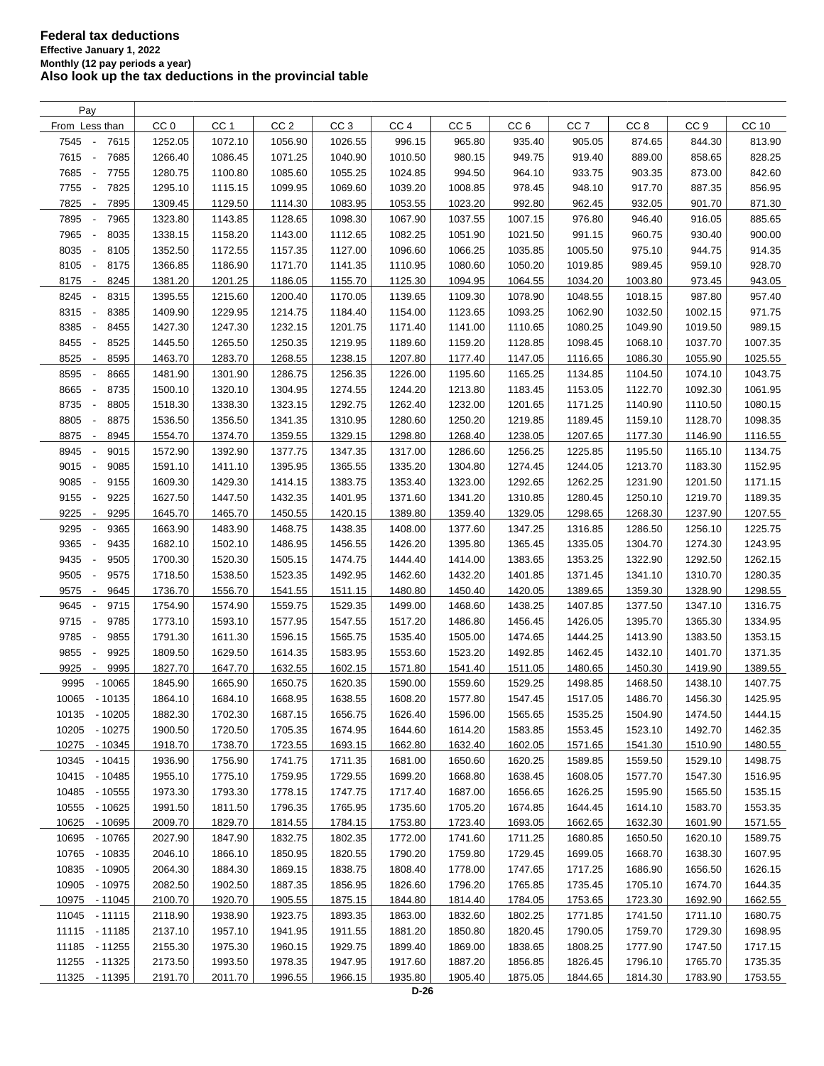| Pay                                      |                 |                 |                 |                 |                 |                    |                 |                 |                 |                 |         |
|------------------------------------------|-----------------|-----------------|-----------------|-----------------|-----------------|--------------------|-----------------|-----------------|-----------------|-----------------|---------|
| From Less than                           | CC <sub>0</sub> | CC <sub>1</sub> | CC <sub>2</sub> | CC <sub>3</sub> | CC <sub>4</sub> | CC <sub>5</sub>    | CC <sub>6</sub> | CC <sub>7</sub> | CC <sub>8</sub> | CC <sub>9</sub> | CC 10   |
| 7545<br>7615<br>$\overline{\phantom{a}}$ | 1252.05         | 1072.10         | 1056.90         | 1026.55         | 996.15          | 965.80             | 935.40          | 905.05          | 874.65          | 844.30          | 813.90  |
| 7615<br>7685<br>$\overline{\phantom{a}}$ | 1266.40         | 1086.45         | 1071.25         | 1040.90         | 1010.50         | 980.15             | 949.75          | 919.40          | 889.00          | 858.65          | 828.25  |
| 7685<br>7755<br>$\overline{\phantom{a}}$ | 1280.75         | 1100.80         | 1085.60         | 1055.25         | 1024.85         | 994.50             | 964.10          | 933.75          | 903.35          | 873.00          | 842.60  |
| 7755<br>7825<br>$\overline{\phantom{a}}$ | 1295.10         | 1115.15         | 1099.95         | 1069.60         | 1039.20         | 1008.85            | 978.45          | 948.10          | 917.70          | 887.35          | 856.95  |
| 7825<br>7895<br>$\overline{\phantom{a}}$ | 1309.45         | 1129.50         | 1114.30         | 1083.95         | 1053.55         | 1023.20            | 992.80          | 962.45          | 932.05          | 901.70          | 871.30  |
| 7895<br>7965<br>$\overline{\phantom{a}}$ | 1323.80         | 1143.85         | 1128.65         | 1098.30         | 1067.90         | 1037.55            | 1007.15         | 976.80          | 946.40          | 916.05          | 885.65  |
| 7965<br>8035<br>$\overline{\phantom{a}}$ | 1338.15         | 1158.20         | 1143.00         | 1112.65         | 1082.25         | 1051.90            | 1021.50         | 991.15          | 960.75          | 930.40          | 900.00  |
| 8035<br>8105<br>$\overline{\phantom{a}}$ | 1352.50         | 1172.55         | 1157.35         | 1127.00         | 1096.60         | 1066.25            | 1035.85         | 1005.50         | 975.10          | 944.75          | 914.35  |
| 8105<br>8175<br>$\overline{\phantom{a}}$ | 1366.85         | 1186.90         | 1171.70         | 1141.35         | 1110.95         | 1080.60            | 1050.20         | 1019.85         | 989.45          | 959.10          | 928.70  |
| 8175<br>8245<br>$\overline{\phantom{a}}$ | 1381.20         | 1201.25         | 1186.05         | 1155.70         | 1125.30         | 1094.95            | 1064.55         | 1034.20         | 1003.80         | 973.45          | 943.05  |
| 8245<br>8315<br>$\overline{\phantom{a}}$ | 1395.55         | 1215.60         | 1200.40         | 1170.05         | 1139.65         | 1109.30            | 1078.90         | 1048.55         | 1018.15         | 987.80          | 957.40  |
| 8315<br>8385<br>$\overline{\phantom{a}}$ | 1409.90         | 1229.95         | 1214.75         | 1184.40         | 1154.00         | 1123.65            | 1093.25         | 1062.90         | 1032.50         | 1002.15         | 971.75  |
| 8385<br>8455<br>$\overline{\phantom{a}}$ | 1427.30         | 1247.30         | 1232.15         | 1201.75         | 1171.40         | 1141.00            | 1110.65         | 1080.25         | 1049.90         | 1019.50         | 989.15  |
| 8455<br>8525<br>$\overline{\phantom{a}}$ | 1445.50         | 1265.50         | 1250.35         | 1219.95         | 1189.60         | 1159.20            | 1128.85         | 1098.45         | 1068.10         | 1037.70         | 1007.35 |
| 8525<br>8595<br>$\overline{\phantom{a}}$ | 1463.70         | 1283.70         | 1268.55         | 1238.15         | 1207.80         | 1177.40            | 1147.05         | 1116.65         | 1086.30         | 1055.90         | 1025.55 |
| 8595<br>8665                             | 1481.90         | 1301.90         | 1286.75         | 1256.35         | 1226.00         | 1195.60            | 1165.25         | 1134.85         | 1104.50         | 1074.10         | 1043.75 |
| 8735<br>$\overline{\phantom{a}}$         |                 | 1320.10         | 1304.95         | 1274.55         | 1244.20         |                    | 1183.45         |                 | 1122.70         | 1092.30         |         |
| 8665<br>8805<br>$\overline{\phantom{a}}$ | 1500.10         |                 |                 | 1292.75         | 1262.40         | 1213.80<br>1232.00 |                 | 1153.05         |                 |                 | 1061.95 |
| 8735                                     | 1518.30         | 1338.30         | 1323.15         |                 |                 |                    | 1201.65         | 1171.25         | 1140.90         | 1110.50         | 1080.15 |
| 8805<br>8875<br>$\overline{\phantom{a}}$ | 1536.50         | 1356.50         | 1341.35         | 1310.95         | 1280.60         | 1250.20            | 1219.85         | 1189.45         | 1159.10         | 1128.70         | 1098.35 |
| 8875<br>8945<br>$\overline{\phantom{a}}$ | 1554.70         | 1374.70         | 1359.55         | 1329.15         | 1298.80         | 1268.40            | 1238.05         | 1207.65         | 1177.30         | 1146.90         | 1116.55 |
| 8945<br>9015<br>$\overline{\phantom{a}}$ | 1572.90         | 1392.90         | 1377.75         | 1347.35         | 1317.00         | 1286.60            | 1256.25         | 1225.85         | 1195.50         | 1165.10         | 1134.75 |
| 9015<br>9085<br>$\overline{\phantom{a}}$ | 1591.10         | 1411.10         | 1395.95         | 1365.55         | 1335.20         | 1304.80            | 1274.45         | 1244.05         | 1213.70         | 1183.30         | 1152.95 |
| 9085<br>9155<br>$\overline{\phantom{a}}$ | 1609.30         | 1429.30         | 1414.15         | 1383.75         | 1353.40         | 1323.00            | 1292.65         | 1262.25         | 1231.90         | 1201.50         | 1171.15 |
| 9155<br>9225<br>$\overline{\phantom{a}}$ | 1627.50         | 1447.50         | 1432.35         | 1401.95         | 1371.60         | 1341.20            | 1310.85         | 1280.45         | 1250.10         | 1219.70         | 1189.35 |
| 9225<br>9295<br>$\overline{\phantom{a}}$ | 1645.70         | 1465.70         | 1450.55         | 1420.15         | 1389.80         | 1359.40            | 1329.05         | 1298.65         | 1268.30         | 1237.90         | 1207.55 |
| 9295<br>9365<br>Ĭ.                       | 1663.90         | 1483.90         | 1468.75         | 1438.35         | 1408.00         | 1377.60            | 1347.25         | 1316.85         | 1286.50         | 1256.10         | 1225.75 |
| 9365<br>9435                             | 1682.10         | 1502.10         | 1486.95         | 1456.55         | 1426.20         | 1395.80            | 1365.45         | 1335.05         | 1304.70         | 1274.30         | 1243.95 |
| 9435<br>9505<br>$\overline{\phantom{a}}$ | 1700.30         | 1520.30         | 1505.15         | 1474.75         | 1444.40         | 1414.00            | 1383.65         | 1353.25         | 1322.90         | 1292.50         | 1262.15 |
| 9505<br>9575<br>$\overline{\phantom{a}}$ | 1718.50         | 1538.50         | 1523.35         | 1492.95         | 1462.60         | 1432.20            | 1401.85         | 1371.45         | 1341.10         | 1310.70         | 1280.35 |
| 9575<br>9645<br>$\overline{\phantom{a}}$ | 1736.70         | 1556.70         | 1541.55         | 1511.15         | 1480.80         | 1450.40            | 1420.05         | 1389.65         | 1359.30         | 1328.90         | 1298.55 |
| 9645<br>9715<br>$\overline{\phantom{a}}$ | 1754.90         | 1574.90         | 1559.75         | 1529.35         | 1499.00         | 1468.60            | 1438.25         | 1407.85         | 1377.50         | 1347.10         | 1316.75 |
| 9715<br>9785<br>$\overline{\phantom{a}}$ | 1773.10         | 1593.10         | 1577.95         | 1547.55         | 1517.20         | 1486.80            | 1456.45         | 1426.05         | 1395.70         | 1365.30         | 1334.95 |
| 9785<br>9855<br>$\overline{\phantom{a}}$ | 1791.30         | 1611.30         | 1596.15         | 1565.75         | 1535.40         | 1505.00            | 1474.65         | 1444.25         | 1413.90         | 1383.50         | 1353.15 |
| 9855<br>9925<br>$\overline{\phantom{a}}$ | 1809.50         | 1629.50         | 1614.35         | 1583.95         | 1553.60         | 1523.20            | 1492.85         | 1462.45         | 1432.10         | 1401.70         | 1371.35 |
| 9925<br>9995<br>$\overline{\phantom{a}}$ | 1827.70         | 1647.70         | 1632.55         | 1602.15         | 1571.80         | 1541.40            | 1511.05         | 1480.65         | 1450.30         | 1419.90         | 1389.55 |
| 9995<br>$-10065$                         | 1845.90         | 1665.90         | 1650.75         | 1620.35         | 1590.00         | 1559.60            | 1529.25         | 1498.85         | 1468.50         | 1438.10         | 1407.75 |
| 10065 - 10135                            | 1864.10         | 1684.10         | 1668.95         | 1638.55         | 1608.20         | 1577.80            | 1547.45         | 1517.05         | 1486.70         | 1456.30         | 1425.95 |
| 10135 - 10205                            | 1882.30         | 1702.30         | 1687.15         | 1656.75         | 1626.40         | 1596.00            | 1565.65         | 1535.25         | 1504.90         | 1474.50         | 1444.15 |
| 10205<br>- 10275                         | 1900.50         | 1720.50         | 1705.35         | 1674.95         | 1644.60         | 1614.20            | 1583.85         | 1553.45         | 1523.10         | 1492.70         | 1462.35 |
| 10275<br>$-10345$                        | 1918.70         | 1738.70         | 1723.55         | 1693.15         | 1662.80         | 1632.40            | 1602.05         | 1571.65         | 1541.30         | 1510.90         | 1480.55 |
| 10345<br>$-10415$                        | 1936.90         | 1756.90         | 1741.75         | 1711.35         | 1681.00         | 1650.60            | 1620.25         | 1589.85         | 1559.50         | 1529.10         | 1498.75 |
| 10415<br>- 10485                         | 1955.10         | 1775.10         | 1759.95         | 1729.55         | 1699.20         | 1668.80            | 1638.45         | 1608.05         | 1577.70         | 1547.30         | 1516.95 |
| 10485<br>$-10555$                        | 1973.30         | 1793.30         | 1778.15         | 1747.75         | 1717.40         | 1687.00            | 1656.65         | 1626.25         | 1595.90         | 1565.50         | 1535.15 |
| 10555<br>- 10625                         | 1991.50         | 1811.50         | 1796.35         | 1765.95         | 1735.60         | 1705.20            | 1674.85         | 1644.45         | 1614.10         | 1583.70         | 1553.35 |
| 10625 - 10695                            | 2009.70         | 1829.70         | 1814.55         | 1784.15         | 1753.80         | 1723.40            | 1693.05         | 1662.65         | 1632.30         | 1601.90         | 1571.55 |
| 10695<br>$-10765$                        | 2027.90         | 1847.90         | 1832.75         | 1802.35         | 1772.00         | 1741.60            | 1711.25         | 1680.85         | 1650.50         | 1620.10         | 1589.75 |
| $-10835$<br>10765                        | 2046.10         | 1866.10         | 1850.95         | 1820.55         | 1790.20         | 1759.80            | 1729.45         | 1699.05         | 1668.70         | 1638.30         | 1607.95 |
| 10835 - 10905                            | 2064.30         | 1884.30         | 1869.15         | 1838.75         | 1808.40         | 1778.00            | 1747.65         | 1717.25         | 1686.90         | 1656.50         | 1626.15 |
| 10905 - 10975                            | 2082.50         | 1902.50         | 1887.35         | 1856.95         | 1826.60         | 1796.20            | 1765.85         | 1735.45         | 1705.10         | 1674.70         | 1644.35 |
| 10975 - 11045                            | 2100.70         | 1920.70         | 1905.55         | 1875.15         | 1844.80         | 1814.40            | 1784.05         | 1753.65         | 1723.30         | 1692.90         | 1662.55 |
| 11045 - 11115                            | 2118.90         | 1938.90         | 1923.75         | 1893.35         | 1863.00         | 1832.60            | 1802.25         | 1771.85         | 1741.50         | 1711.10         | 1680.75 |
| 11115 - 11185                            | 2137.10         | 1957.10         | 1941.95         | 1911.55         | 1881.20         | 1850.80            | 1820.45         | 1790.05         | 1759.70         | 1729.30         | 1698.95 |
| 11185 - 11255                            | 2155.30         | 1975.30         | 1960.15         | 1929.75         | 1899.40         | 1869.00            | 1838.65         | 1808.25         | 1777.90         | 1747.50         | 1717.15 |
| 11255 - 11325                            | 2173.50         | 1993.50         | 1978.35         | 1947.95         | 1917.60         | 1887.20            | 1856.85         | 1826.45         | 1796.10         | 1765.70         | 1735.35 |
| 11325 - 11395                            | 2191.70         | 2011.70         | 1996.55         | 1966.15         | 1935.80         | 1905.40            | 1875.05         | 1844.65         | 1814.30         | 1783.90         | 1753.55 |
|                                          |                 |                 |                 |                 |                 |                    |                 |                 |                 |                 |         |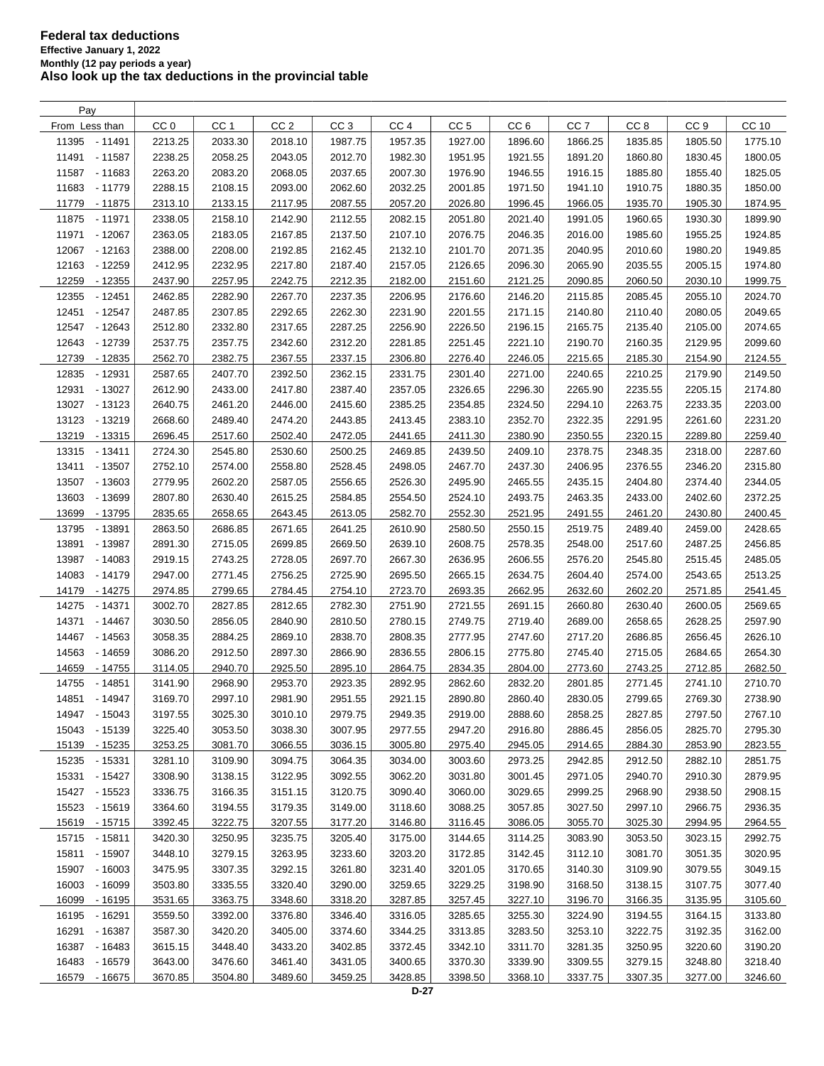| Pay               |                 |                 |                 |                 |                 |                 |                 |                 |                 |                 |         |
|-------------------|-----------------|-----------------|-----------------|-----------------|-----------------|-----------------|-----------------|-----------------|-----------------|-----------------|---------|
| From Less than    | CC <sub>0</sub> | CC <sub>1</sub> | CC <sub>2</sub> | CC <sub>3</sub> | CC <sub>4</sub> | CC <sub>5</sub> | CC <sub>6</sub> | CC <sub>7</sub> | CC <sub>8</sub> | CC <sub>9</sub> | CC 10   |
| 11395 - 11491     | 2213.25         | 2033.30         | 2018.10         | 1987.75         | 1957.35         | 1927.00         | 1896.60         | 1866.25         | 1835.85         | 1805.50         | 1775.10 |
| 11491 - 11587     | 2238.25         | 2058.25         | 2043.05         | 2012.70         | 1982.30         | 1951.95         | 1921.55         | 1891.20         | 1860.80         | 1830.45         | 1800.05 |
| 11587 - 11683     | 2263.20         | 2083.20         | 2068.05         | 2037.65         | 2007.30         | 1976.90         | 1946.55         | 1916.15         | 1885.80         | 1855.40         | 1825.05 |
| 11683<br>- 11779  | 2288.15         | 2108.15         | 2093.00         | 2062.60         | 2032.25         | 2001.85         | 1971.50         | 1941.10         | 1910.75         | 1880.35         | 1850.00 |
| 11779<br>- 11875  | 2313.10         | 2133.15         | 2117.95         | 2087.55         | 2057.20         | 2026.80         | 1996.45         | 1966.05         | 1935.70         | 1905.30         | 1874.95 |
| 11875<br>- 11971  | 2338.05         | 2158.10         | 2142.90         | 2112.55         | 2082.15         | 2051.80         | 2021.40         | 1991.05         | 1960.65         | 1930.30         | 1899.90 |
|                   |                 |                 |                 |                 |                 |                 |                 |                 |                 |                 | 1924.85 |
| 11971<br>$-12067$ | 2363.05         | 2183.05         | 2167.85         | 2137.50         | 2107.10         | 2076.75         | 2046.35         | 2016.00         | 1985.60         | 1955.25         |         |
| 12067<br>- 12163  | 2388.00         | 2208.00         | 2192.85         | 2162.45         | 2132.10         | 2101.70         | 2071.35         | 2040.95         | 2010.60         | 1980.20         | 1949.85 |
| 12163<br>- 12259  | 2412.95         | 2232.95         | 2217.80         | 2187.40         | 2157.05         | 2126.65         | 2096.30         | 2065.90         | 2035.55         | 2005.15         | 1974.80 |
| 12259<br>$-12355$ | 2437.90         | 2257.95         | 2242.75         | 2212.35         | 2182.00         | 2151.60         | 2121.25         | 2090.85         | 2060.50         | 2030.10         | 1999.75 |
| 12355<br>$-12451$ | 2462.85         | 2282.90         | 2267.70         | 2237.35         | 2206.95         | 2176.60         | 2146.20         | 2115.85         | 2085.45         | 2055.10         | 2024.70 |
| 12451<br>- 12547  | 2487.85         | 2307.85         | 2292.65         | 2262.30         | 2231.90         | 2201.55         | 2171.15         | 2140.80         | 2110.40         | 2080.05         | 2049.65 |
| 12547 - 12643     | 2512.80         | 2332.80         | 2317.65         | 2287.25         | 2256.90         | 2226.50         | 2196.15         | 2165.75         | 2135.40         | 2105.00         | 2074.65 |
| 12643<br>- 12739  | 2537.75         | 2357.75         | 2342.60         | 2312.20         | 2281.85         | 2251.45         | 2221.10         | 2190.70         | 2160.35         | 2129.95         | 2099.60 |
| 12739<br>- 12835  | 2562.70         | 2382.75         | 2367.55         | 2337.15         | 2306.80         | 2276.40         | 2246.05         | 2215.65         | 2185.30         | 2154.90         | 2124.55 |
| 12835<br>- 12931  | 2587.65         | 2407.70         | 2392.50         | 2362.15         | 2331.75         | 2301.40         | 2271.00         | 2240.65         | 2210.25         | 2179.90         | 2149.50 |
| 12931<br>$-13027$ | 2612.90         | 2433.00         | 2417.80         | 2387.40         | 2357.05         | 2326.65         | 2296.30         | 2265.90         | 2235.55         | 2205.15         | 2174.80 |
| 13027 - 13123     | 2640.75         | 2461.20         | 2446.00         | 2415.60         | 2385.25         | 2354.85         | 2324.50         | 2294.10         | 2263.75         | 2233.35         | 2203.00 |
| 13123<br>- 13219  | 2668.60         | 2489.40         | 2474.20         | 2443.85         | 2413.45         | 2383.10         | 2352.70         | 2322.35         | 2291.95         | 2261.60         | 2231.20 |
| 13219 - 13315     | 2696.45         | 2517.60         | 2502.40         | 2472.05         | 2441.65         | 2411.30         | 2380.90         | 2350.55         | 2320.15         | 2289.80         | 2259.40 |
| 13315 - 13411     | 2724.30         | 2545.80         | 2530.60         | 2500.25         | 2469.85         | 2439.50         | 2409.10         | 2378.75         | 2348.35         | 2318.00         | 2287.60 |
| 13411<br>$-13507$ | 2752.10         | 2574.00         | 2558.80         | 2528.45         | 2498.05         | 2467.70         | 2437.30         | 2406.95         | 2376.55         | 2346.20         | 2315.80 |
| 13507<br>$-13603$ | 2779.95         | 2602.20         | 2587.05         | 2556.65         | 2526.30         | 2495.90         | 2465.55         | 2435.15         | 2404.80         | 2374.40         | 2344.05 |
| 13603<br>- 13699  | 2807.80         | 2630.40         | 2615.25         | 2584.85         | 2554.50         | 2524.10         | 2493.75         | 2463.35         | 2433.00         | 2402.60         | 2372.25 |
| 13699<br>- 13795  | 2835.65         | 2658.65         | 2643.45         | 2613.05         | 2582.70         | 2552.30         | 2521.95         | 2491.55         | 2461.20         | 2430.80         | 2400.45 |
| 13795<br>- 13891  | 2863.50         | 2686.85         | 2671.65         | 2641.25         | 2610.90         | 2580.50         | 2550.15         | 2519.75         | 2489.40         | 2459.00         | 2428.65 |
| 13891<br>- 13987  | 2891.30         | 2715.05         | 2699.85         | 2669.50         | 2639.10         | 2608.75         | 2578.35         | 2548.00         | 2517.60         | 2487.25         | 2456.85 |
| 13987<br>$-14083$ | 2919.15         | 2743.25         | 2728.05         | 2697.70         | 2667.30         | 2636.95         | 2606.55         | 2576.20         | 2545.80         | 2515.45         | 2485.05 |
| 14083             |                 |                 |                 |                 |                 |                 |                 |                 |                 |                 | 2513.25 |
| $-14179$          | 2947.00         | 2771.45         | 2756.25         | 2725.90         | 2695.50         | 2665.15         | 2634.75         | 2604.40         | 2574.00         | 2543.65         |         |
| 14179<br>- 14275  | 2974.85         | 2799.65         | 2784.45         | 2754.10         | 2723.70         | 2693.35         | 2662.95         | 2632.60         | 2602.20         | 2571.85         | 2541.45 |
| 14275<br>- 14371  | 3002.70         | 2827.85         | 2812.65         | 2782.30         | 2751.90         | 2721.55         | 2691.15         | 2660.80         | 2630.40         | 2600.05         | 2569.65 |
| 14371<br>$-14467$ | 3030.50         | 2856.05         | 2840.90         | 2810.50         | 2780.15         | 2749.75         | 2719.40         | 2689.00         | 2658.65         | 2628.25         | 2597.90 |
| 14467<br>- 14563  | 3058.35         | 2884.25         | 2869.10         | 2838.70         | 2808.35         | 2777.95         | 2747.60         | 2717.20         | 2686.85         | 2656.45         | 2626.10 |
| 14563<br>$-14659$ | 3086.20         | 2912.50         | 2897.30         | 2866.90         | 2836.55         | 2806.15         | 2775.80         | 2745.40         | 2715.05         | 2684.65         | 2654.30 |
| 14659<br>- 14755  | 3114.05         | 2940.70         | 2925.50         | 2895.10         | 2864.75         | 2834.35         | 2804.00         | 2773.60         | 2743.25         | 2712.85         | 2682.50 |
| 14755<br>- 14851  | 3141.90         | 2968.90         | 2953.70         | 2923.35         | 2892.95         | 2862.60         | 2832.20         | 2801.85         | 2771.45         | 2741.10         | 2710.70 |
| 14851 - 14947     | 3169.70         | 2997.10         | 2981.90         | 2951.55         | 2921.15         | 2890.80         | 2860.40         | 2830.05         | 2799.65         | 2769.30         | 2738.90 |
| 14947 - 15043     | 3197.55         | 3025.30         | 3010.10         | 2979.75         | 2949.35         | 2919.00         | 2888.60         | 2858.25         | 2827.85         | 2797.50         | 2767.10 |
| 15043 - 15139     | 3225.40         | 3053.50         | 3038.30         | 3007.95         | 2977.55         | 2947.20         | 2916.80         | 2886.45         | 2856.05         | 2825.70         | 2795.30 |
| 15139 - 15235     | 3253.25         | 3081.70         | 3066.55         | 3036.15         | 3005.80         | 2975.40         | 2945.05         | 2914.65         | 2884.30         | 2853.90         | 2823.55 |
| 15235 - 15331     | 3281.10         | 3109.90         | 3094.75         | 3064.35         | 3034.00         | 3003.60         | 2973.25         | 2942.85         | 2912.50         | 2882.10         | 2851.75 |
| 15331 - 15427     | 3308.90         | 3138.15         | 3122.95         | 3092.55         | 3062.20         | 3031.80         | 3001.45         | 2971.05         | 2940.70         | 2910.30         | 2879.95 |
| 15427 - 15523     | 3336.75         | 3166.35         | 3151.15         | 3120.75         | 3090.40         | 3060.00         | 3029.65         | 2999.25         | 2968.90         | 2938.50         | 2908.15 |
| 15523 - 15619     | 3364.60         | 3194.55         | 3179.35         | 3149.00         | 3118.60         | 3088.25         | 3057.85         | 3027.50         | 2997.10         | 2966.75         | 2936.35 |
| 15619 - 15715     | 3392.45         | 3222.75         | 3207.55         | 3177.20         | 3146.80         | 3116.45         | 3086.05         | 3055.70         | 3025.30         | 2994.95         | 2964.55 |
| 15715 - 15811     | 3420.30         | 3250.95         | 3235.75         | 3205.40         | 3175.00         | 3144.65         | 3114.25         | 3083.90         | 3053.50         | 3023.15         | 2992.75 |
| 15811 - 15907     | 3448.10         | 3279.15         | 3263.95         | 3233.60         | 3203.20         | 3172.85         | 3142.45         | 3112.10         | 3081.70         | 3051.35         | 3020.95 |
| 15907 - 16003     | 3475.95         | 3307.35         | 3292.15         | 3261.80         | 3231.40         | 3201.05         | 3170.65         | 3140.30         | 3109.90         | 3079.55         | 3049.15 |
| 16003 - 16099     | 3503.80         | 3335.55         | 3320.40         | 3290.00         | 3259.65         | 3229.25         | 3198.90         | 3168.50         | 3138.15         | 3107.75         | 3077.40 |
| 16099 - 16195     | 3531.65         | 3363.75         | 3348.60         | 3318.20         | 3287.85         | 3257.45         | 3227.10         | 3196.70         | 3166.35         | 3135.95         | 3105.60 |
| 16195 - 16291     | 3559.50         | 3392.00         | 3376.80         | 3346.40         | 3316.05         | 3285.65         | 3255.30         | 3224.90         | 3194.55         | 3164.15         | 3133.80 |
| 16291 - 16387     | 3587.30         | 3420.20         | 3405.00         | 3374.60         | 3344.25         | 3313.85         | 3283.50         | 3253.10         | 3222.75         | 3192.35         | 3162.00 |
| 16387 - 16483     | 3615.15         | 3448.40         | 3433.20         | 3402.85         | 3372.45         | 3342.10         | 3311.70         | 3281.35         | 3250.95         | 3220.60         | 3190.20 |
| 16483 - 16579     | 3643.00         | 3476.60         | 3461.40         | 3431.05         | 3400.65         | 3370.30         | 3339.90         | 3309.55         | 3279.15         | 3248.80         | 3218.40 |
| 16579 - 16675     | 3670.85         | 3504.80         | 3489.60         | 3459.25         | 3428.85         | 3398.50         | 3368.10         | 3337.75         | 3307.35         | 3277.00         | 3246.60 |
|                   |                 |                 |                 |                 |                 |                 |                 |                 |                 |                 |         |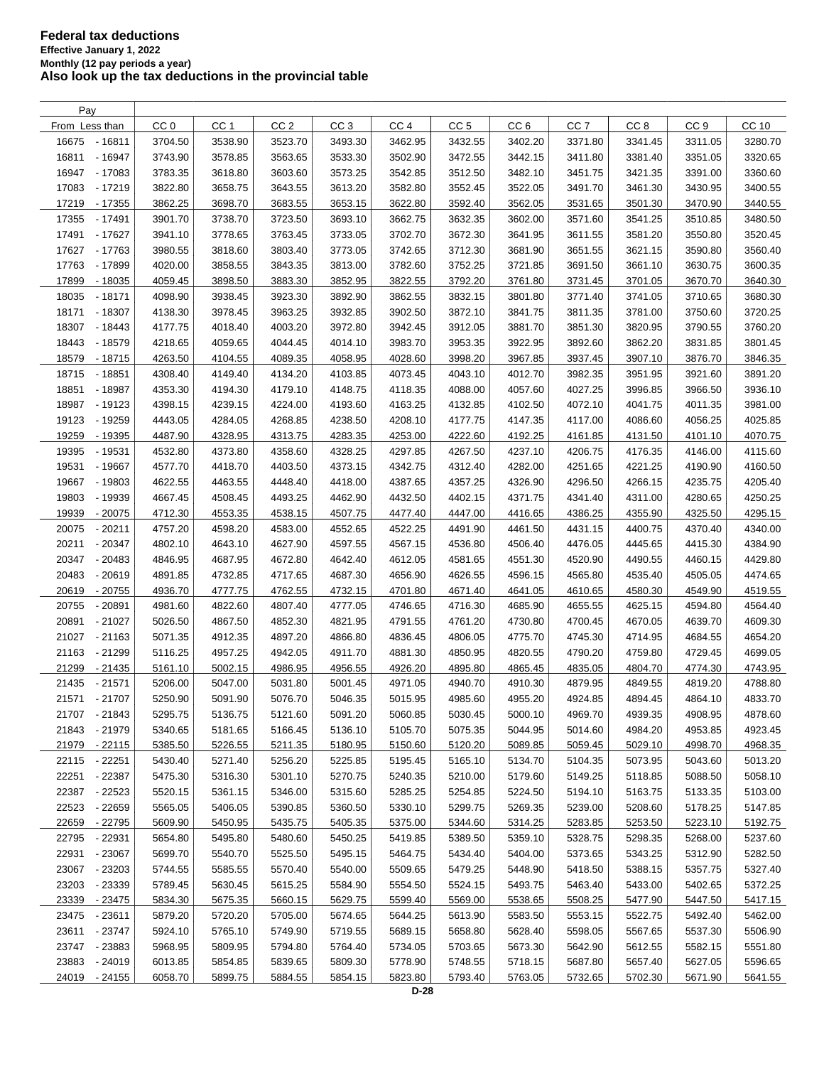| Pay               |                 |                 |                 |                 |                 |                 |                 |                 |                 |                 |         |
|-------------------|-----------------|-----------------|-----------------|-----------------|-----------------|-----------------|-----------------|-----------------|-----------------|-----------------|---------|
| From Less than    | CC <sub>0</sub> | CC <sub>1</sub> | CC <sub>2</sub> | CC <sub>3</sub> | CC <sub>4</sub> | CC <sub>5</sub> | CC <sub>6</sub> | CC <sub>7</sub> | CC <sub>8</sub> | CC <sub>9</sub> | CC 10   |
| 16675<br>$-16811$ | 3704.50         | 3538.90         | 3523.70         | 3493.30         | 3462.95         | 3432.55         | 3402.20         | 3371.80         | 3341.45         | 3311.05         | 3280.70 |
| 16811<br>$-16947$ | 3743.90         | 3578.85         | 3563.65         | 3533.30         | 3502.90         | 3472.55         | 3442.15         | 3411.80         | 3381.40         | 3351.05         | 3320.65 |
| 16947 - 17083     | 3783.35         | 3618.80         | 3603.60         | 3573.25         | 3542.85         | 3512.50         | 3482.10         | 3451.75         | 3421.35         | 3391.00         | 3360.60 |
| 17083<br>- 17219  | 3822.80         | 3658.75         | 3643.55         | 3613.20         | 3582.80         | 3552.45         | 3522.05         | 3491.70         | 3461.30         | 3430.95         | 3400.55 |
| 17219<br>- 17355  | 3862.25         | 3698.70         | 3683.55         | 3653.15         | 3622.80         | 3592.40         | 3562.05         | 3531.65         | 3501.30         | 3470.90         | 3440.55 |
| 17355<br>$-17491$ | 3901.70         | 3738.70         | 3723.50         | 3693.10         | 3662.75         | 3632.35         | 3602.00         | 3571.60         | 3541.25         | 3510.85         | 3480.50 |
| 17491<br>- 17627  | 3941.10         | 3778.65         | 3763.45         | 3733.05         | 3702.70         | 3672.30         | 3641.95         | 3611.55         | 3581.20         | 3550.80         | 3520.45 |
| 17627<br>- 17763  | 3980.55         | 3818.60         | 3803.40         | 3773.05         | 3742.65         | 3712.30         | 3681.90         | 3651.55         | 3621.15         | 3590.80         | 3560.40 |
| 17763<br>- 17899  | 4020.00         | 3858.55         | 3843.35         | 3813.00         | 3782.60         | 3752.25         | 3721.85         | 3691.50         | 3661.10         | 3630.75         | 3600.35 |
| 17899<br>$-18035$ | 4059.45         | 3898.50         | 3883.30         | 3852.95         | 3822.55         | 3792.20         | 3761.80         | 3731.45         | 3701.05         | 3670.70         | 3640.30 |
| 18035<br>$-18171$ | 4098.90         | 3938.45         | 3923.30         | 3892.90         | 3862.55         | 3832.15         | 3801.80         |                 |                 | 3710.65         | 3680.30 |
| 18171             |                 |                 | 3963.25         | 3932.85         |                 | 3872.10         |                 | 3771.40         | 3741.05         |                 |         |
| $-18307$          | 4138.30         | 3978.45         |                 |                 | 3902.50         |                 | 3841.75         | 3811.35         | 3781.00         | 3750.60         | 3720.25 |
| 18307<br>- 18443  | 4177.75         | 4018.40         | 4003.20         | 3972.80         | 3942.45         | 3912.05         | 3881.70         | 3851.30         | 3820.95         | 3790.55         | 3760.20 |
| 18443<br>- 18579  | 4218.65         | 4059.65         | 4044.45         | 4014.10         | 3983.70         | 3953.35         | 3922.95         | 3892.60         | 3862.20         | 3831.85         | 3801.45 |
| 18579<br>- 18715  | 4263.50         | 4104.55         | 4089.35         | 4058.95         | 4028.60         | 3998.20         | 3967.85         | 3937.45         | 3907.10         | 3876.70         | 3846.35 |
| 18715 - 18851     | 4308.40         | 4149.40         | 4134.20         | 4103.85         | 4073.45         | 4043.10         | 4012.70         | 3982.35         | 3951.95         | 3921.60         | 3891.20 |
| 18851<br>$-18987$ | 4353.30         | 4194.30         | 4179.10         | 4148.75         | 4118.35         | 4088.00         | 4057.60         | 4027.25         | 3996.85         | 3966.50         | 3936.10 |
| 18987<br>$-19123$ | 4398.15         | 4239.15         | 4224.00         | 4193.60         | 4163.25         | 4132.85         | 4102.50         | 4072.10         | 4041.75         | 4011.35         | 3981.00 |
| 19123<br>- 19259  | 4443.05         | 4284.05         | 4268.85         | 4238.50         | 4208.10         | 4177.75         | 4147.35         | 4117.00         | 4086.60         | 4056.25         | 4025.85 |
| 19259<br>- 19395  | 4487.90         | 4328.95         | 4313.75         | 4283.35         | 4253.00         | 4222.60         | 4192.25         | 4161.85         | 4131.50         | 4101.10         | 4070.75 |
| 19395<br>- 19531  | 4532.80         | 4373.80         | 4358.60         | 4328.25         | 4297.85         | 4267.50         | 4237.10         | 4206.75         | 4176.35         | 4146.00         | 4115.60 |
| 19531<br>$-19667$ | 4577.70         | 4418.70         | 4403.50         | 4373.15         | 4342.75         | 4312.40         | 4282.00         | 4251.65         | 4221.25         | 4190.90         | 4160.50 |
| 19667<br>$-19803$ | 4622.55         | 4463.55         | 4448.40         | 4418.00         | 4387.65         | 4357.25         | 4326.90         | 4296.50         | 4266.15         | 4235.75         | 4205.40 |
| 19803<br>$-19939$ | 4667.45         | 4508.45         | 4493.25         | 4462.90         | 4432.50         | 4402.15         | 4371.75         | 4341.40         | 4311.00         | 4280.65         | 4250.25 |
| 19939<br>$-20075$ | 4712.30         | 4553.35         | 4538.15         | 4507.75         | 4477.40         | 4447.00         | 4416.65         | 4386.25         | 4355.90         | 4325.50         | 4295.15 |
| 20075<br>$-20211$ | 4757.20         | 4598.20         | 4583.00         | 4552.65         | 4522.25         | 4491.90         | 4461.50         | 4431.15         | 4400.75         | 4370.40         | 4340.00 |
| 20211<br>$-20347$ | 4802.10         | 4643.10         | 4627.90         | 4597.55         | 4567.15         | 4536.80         | 4506.40         | 4476.05         | 4445.65         | 4415.30         | 4384.90 |
| 20347<br>$-20483$ | 4846.95         | 4687.95         | 4672.80         | 4642.40         | 4612.05         | 4581.65         | 4551.30         | 4520.90         | 4490.55         | 4460.15         | 4429.80 |
| 20483<br>$-20619$ | 4891.85         | 4732.85         | 4717.65         | 4687.30         | 4656.90         | 4626.55         | 4596.15         | 4565.80         | 4535.40         | 4505.05         | 4474.65 |
| 20619<br>$-20755$ | 4936.70         | 4777.75         | 4762.55         | 4732.15         | 4701.80         | 4671.40         | 4641.05         | 4610.65         | 4580.30         | 4549.90         | 4519.55 |
| 20755<br>$-20891$ | 4981.60         | 4822.60         | 4807.40         | 4777.05         | 4746.65         | 4716.30         | 4685.90         | 4655.55         | 4625.15         | 4594.80         | 4564.40 |
| 20891<br>$-21027$ | 5026.50         | 4867.50         | 4852.30         | 4821.95         | 4791.55         | 4761.20         | 4730.80         | 4700.45         | 4670.05         | 4639.70         | 4609.30 |
| 21027 - 21163     | 5071.35         | 4912.35         | 4897.20         | 4866.80         | 4836.45         | 4806.05         | 4775.70         | 4745.30         | 4714.95         | 4684.55         | 4654.20 |
| 21163<br>- 21299  | 5116.25         | 4957.25         | 4942.05         | 4911.70         | 4881.30         | 4850.95         | 4820.55         | 4790.20         | 4759.80         | 4729.45         | 4699.05 |
| 21299<br>$-21435$ | 5161.10         | 5002.15         | 4986.95         | 4956.55         | 4926.20         | 4895.80         | 4865.45         | 4835.05         | 4804.70         | 4774.30         | 4743.95 |
| $-21571$<br>21435 | 5206.00         | 5047.00         | 5031.80         | 5001.45         | 4971.05         | 4940.70         | 4910.30         | 4879.95         | 4849.55         | 4819.20         | 4788.80 |
| 21571 - 21707     | 5250.90         | 5091.90         | 5076.70         | 5046.35         | 5015.95         | 4985.60         | 4955.20         | 4924.85         | 4894.45         | 4864.10         | 4833.70 |
| 21707 - 21843     | 5295.75         | 5136.75         | 5121.60         | 5091.20         | 5060.85         | 5030.45         | 5000.10         | 4969.70         | 4939.35         | 4908.95         | 4878.60 |
| 21843 - 21979     | 5340.65         | 5181.65         | 5166.45         | 5136.10         | 5105.70         | 5075.35         | 5044.95         | 5014.60         | 4984.20         | 4953.85         | 4923.45 |
| 21979 - 22115     | 5385.50         | 5226.55         | 5211.35         | 5180.95         | 5150.60         | 5120.20         | 5089.85         | 5059.45         | 5029.10         | 4998.70         | 4968.35 |
| 22115 - 22251     | 5430.40         | 5271.40         | 5256.20         | 5225.85         | 5195.45         | 5165.10         | 5134.70         | 5104.35         | 5073.95         | 5043.60         | 5013.20 |
| 22251<br>$-22387$ | 5475.30         | 5316.30         | 5301.10         | 5270.75         | 5240.35         | 5210.00         | 5179.60         | 5149.25         | 5118.85         | 5088.50         | 5058.10 |
| 22387<br>- 22523  | 5520.15         | 5361.15         | 5346.00         | 5315.60         | 5285.25         | 5254.85         | 5224.50         | 5194.10         | 5163.75         | 5133.35         | 5103.00 |
| 22523<br>$-22659$ | 5565.05         | 5406.05         | 5390.85         | 5360.50         | 5330.10         | 5299.75         | 5269.35         | 5239.00         | 5208.60         | 5178.25         | 5147.85 |
| 22659<br>- 22795  | 5609.90         | 5450.95         | 5435.75         | 5405.35         | 5375.00         | 5344.60         | 5314.25         | 5283.85         | 5253.50         | 5223.10         | 5192.75 |
| 22795 - 22931     | 5654.80         | 5495.80         | 5480.60         | 5450.25         | 5419.85         | 5389.50         | 5359.10         | 5328.75         | 5298.35         | 5268.00         | 5237.60 |
| 22931<br>$-23067$ | 5699.70         | 5540.70         | 5525.50         | 5495.15         | 5464.75         | 5434.40         | 5404.00         | 5373.65         | 5343.25         | 5312.90         | 5282.50 |
| 23067 - 23203     | 5744.55         | 5585.55         | 5570.40         | 5540.00         | 5509.65         | 5479.25         | 5448.90         | 5418.50         | 5388.15         | 5357.75         | 5327.40 |
| 23203 - 23339     | 5789.45         | 5630.45         | 5615.25         | 5584.90         | 5554.50         | 5524.15         | 5493.75         | 5463.40         | 5433.00         | 5402.65         | 5372.25 |
| 23339 - 23475     | 5834.30         | 5675.35         | 5660.15         | 5629.75         | 5599.40         | 5569.00         | 5538.65         | 5508.25         | 5477.90         | 5447.50         | 5417.15 |
| 23475 - 23611     | 5879.20         | 5720.20         | 5705.00         | 5674.65         | 5644.25         | 5613.90         | 5583.50         | 5553.15         | 5522.75         | 5492.40         | 5462.00 |
| 23611 - 23747     | 5924.10         | 5765.10         | 5749.90         | 5719.55         | 5689.15         | 5658.80         | 5628.40         | 5598.05         | 5567.65         | 5537.30         | 5506.90 |
| 23747 - 23883     | 5968.95         | 5809.95         | 5794.80         | 5764.40         | 5734.05         | 5703.65         | 5673.30         | 5642.90         | 5612.55         | 5582.15         | 5551.80 |
| $-24019$<br>23883 | 6013.85         | 5854.85         | 5839.65         | 5809.30         | 5778.90         | 5748.55         | 5718.15         | 5687.80         | 5657.40         | 5627.05         | 5596.65 |
| 24019 - 24155     |                 |                 |                 |                 |                 |                 |                 |                 |                 |                 |         |
|                   | 6058.70         | 5899.75         | 5884.55         | 5854.15         | 5823.80         | 5793.40         | 5763.05         | 5732.65         | 5702.30         | 5671.90         | 5641.55 |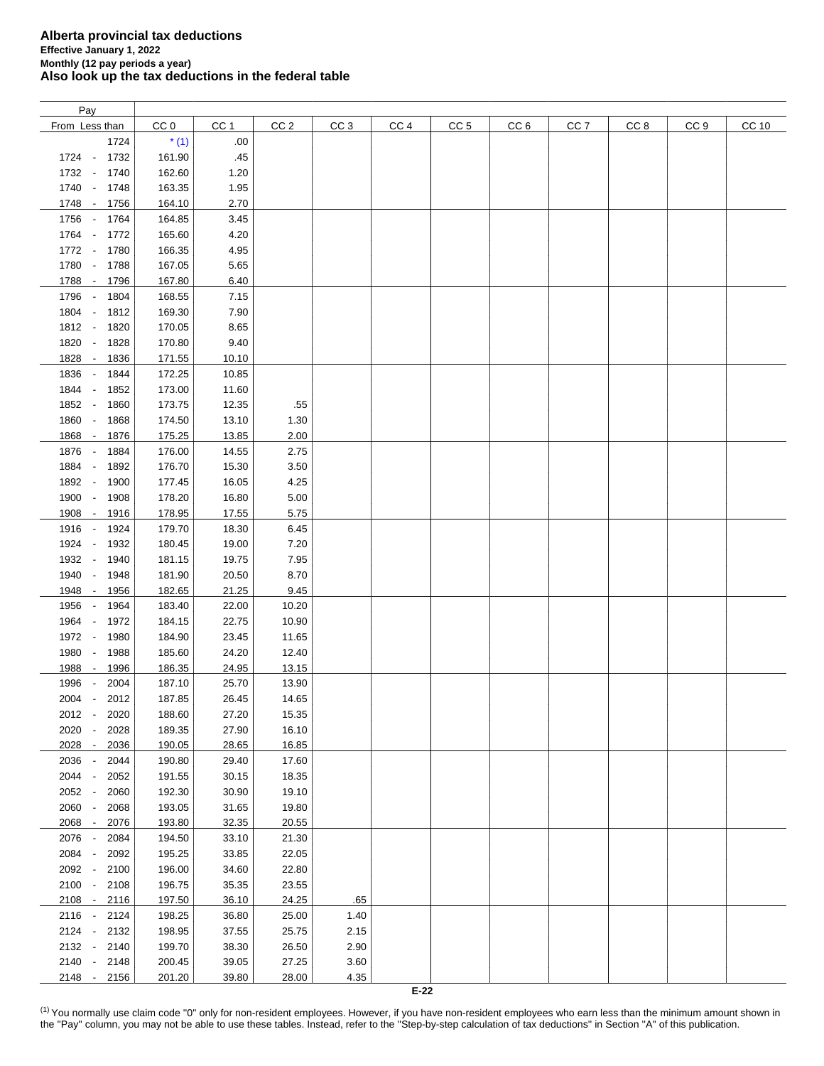| Pay                                      |                 |       |                 |                 |                 |                 |                 |                 |      |                 |              |
|------------------------------------------|-----------------|-------|-----------------|-----------------|-----------------|-----------------|-----------------|-----------------|------|-----------------|--------------|
| From Less than                           | CC <sub>0</sub> | CC 1  | CC <sub>2</sub> | CC <sub>3</sub> | CC <sub>4</sub> | CC <sub>5</sub> | CC <sub>6</sub> | CC <sub>7</sub> | CC 8 | CC <sub>9</sub> | <b>CC 10</b> |
| 1724                                     | $*(1)$          | .00   |                 |                 |                 |                 |                 |                 |      |                 |              |
| 1724 -<br>1732                           | 161.90          | .45   |                 |                 |                 |                 |                 |                 |      |                 |              |
| 1732 -<br>1740                           | 162.60          | 1.20  |                 |                 |                 |                 |                 |                 |      |                 |              |
| 1740 - 1748                              | 163.35          | 1.95  |                 |                 |                 |                 |                 |                 |      |                 |              |
| 1748 -<br>1756                           | 164.10          | 2.70  |                 |                 |                 |                 |                 |                 |      |                 |              |
| 1756 - 1764                              | 164.85          | 3.45  |                 |                 |                 |                 |                 |                 |      |                 |              |
| 1764 - 1772                              | 165.60          | 4.20  |                 |                 |                 |                 |                 |                 |      |                 |              |
|                                          |                 |       |                 |                 |                 |                 |                 |                 |      |                 |              |
| 1772 - 1780                              | 166.35          | 4.95  |                 |                 |                 |                 |                 |                 |      |                 |              |
| 1780 - 1788                              | 167.05          | 5.65  |                 |                 |                 |                 |                 |                 |      |                 |              |
| 1788 - 1796                              | 167.80          | 6.40  |                 |                 |                 |                 |                 |                 |      |                 |              |
| 1796 -<br>1804                           | 168.55          | 7.15  |                 |                 |                 |                 |                 |                 |      |                 |              |
| 1804 -<br>1812                           | 169.30          | 7.90  |                 |                 |                 |                 |                 |                 |      |                 |              |
| 1812 -<br>1820                           | 170.05          | 8.65  |                 |                 |                 |                 |                 |                 |      |                 |              |
| 1820 -<br>1828                           | 170.80          | 9.40  |                 |                 |                 |                 |                 |                 |      |                 |              |
| 1828 -<br>1836                           | 171.55          | 10.10 |                 |                 |                 |                 |                 |                 |      |                 |              |
| 1836 -<br>1844                           | 172.25          | 10.85 |                 |                 |                 |                 |                 |                 |      |                 |              |
| 1844<br>1852<br>$\sim$                   | 173.00          | 11.60 |                 |                 |                 |                 |                 |                 |      |                 |              |
| 1852 -<br>1860                           | 173.75          | 12.35 | .55             |                 |                 |                 |                 |                 |      |                 |              |
| 1860 - 1868                              | 174.50          | 13.10 | 1.30            |                 |                 |                 |                 |                 |      |                 |              |
| 1868 -<br>1876                           | 175.25          | 13.85 | 2.00            |                 |                 |                 |                 |                 |      |                 |              |
| 1876 - 1884                              | 176.00          | 14.55 | 2.75            |                 |                 |                 |                 |                 |      |                 |              |
| 1884<br>$\sim$<br>1892                   | 176.70          | 15.30 | 3.50            |                 |                 |                 |                 |                 |      |                 |              |
| 1892 -<br>1900                           | 177.45          | 16.05 | 4.25            |                 |                 |                 |                 |                 |      |                 |              |
| 1900 -<br>1908                           | 178.20          | 16.80 | 5.00            |                 |                 |                 |                 |                 |      |                 |              |
| 1908 - 1916                              | 178.95          | 17.55 | 5.75            |                 |                 |                 |                 |                 |      |                 |              |
| 1916 -<br>1924                           | 179.70          | 18.30 | 6.45            |                 |                 |                 |                 |                 |      |                 |              |
| 1924 -<br>1932                           | 180.45          | 19.00 | 7.20            |                 |                 |                 |                 |                 |      |                 |              |
| 1932 -<br>1940                           | 181.15          | 19.75 | 7.95            |                 |                 |                 |                 |                 |      |                 |              |
| 1940<br>1948<br>$\overline{\phantom{a}}$ | 181.90          | 20.50 | 8.70            |                 |                 |                 |                 |                 |      |                 |              |
| 1948 -<br>1956                           | 182.65          | 21.25 | 9.45            |                 |                 |                 |                 |                 |      |                 |              |
| 1964<br>1956<br>$\sim$                   | 183.40          | 22.00 | 10.20           |                 |                 |                 |                 |                 |      |                 |              |
| 1964<br>1972<br>$\sim$                   | 184.15          | 22.75 | 10.90           |                 |                 |                 |                 |                 |      |                 |              |
| 1972 -<br>1980                           | 184.90          | 23.45 | 11.65           |                 |                 |                 |                 |                 |      |                 |              |
| $\sim$                                   |                 |       |                 |                 |                 |                 |                 |                 |      |                 |              |
| 1980<br>1988                             | 185.60          | 24.20 | 12.40           |                 |                 |                 |                 |                 |      |                 |              |
| 1988<br>1996<br>$\sim$                   | 186.35          | 24.95 | 13.15           |                 |                 |                 |                 |                 |      |                 |              |
| 1996<br>2004                             | 187.10          | 25.70 | 13.90           |                 |                 |                 |                 |                 |      |                 |              |
| 2004 -<br>2012                           | 187.85          | 26.45 | 14.65           |                 |                 |                 |                 |                 |      |                 |              |
| 2012 -<br>2020                           | 188.60          | 27.20 | 15.35           |                 |                 |                 |                 |                 |      |                 |              |
| 2020 -<br>2028                           | 189.35          | 27.90 | 16.10           |                 |                 |                 |                 |                 |      |                 |              |
| 2028 -<br>2036                           | 190.05          | 28.65 | 16.85           |                 |                 |                 |                 |                 |      |                 |              |
| 2036 -<br>2044                           | 190.80          | 29.40 | 17.60           |                 |                 |                 |                 |                 |      |                 |              |
| 2044 -<br>2052                           | 191.55          | 30.15 | 18.35           |                 |                 |                 |                 |                 |      |                 |              |
| 2052 -<br>2060                           | 192.30          | 30.90 | 19.10           |                 |                 |                 |                 |                 |      |                 |              |
| 2060 -<br>2068                           | 193.05          | 31.65 | 19.80           |                 |                 |                 |                 |                 |      |                 |              |
| 2068 -<br>2076                           | 193.80          | 32.35 | 20.55           |                 |                 |                 |                 |                 |      |                 |              |
| 2076 -<br>2084                           | 194.50          | 33.10 | 21.30           |                 |                 |                 |                 |                 |      |                 |              |
| 2084<br>2092<br>$\sim$                   | 195.25          | 33.85 | 22.05           |                 |                 |                 |                 |                 |      |                 |              |
| 2092 -<br>2100                           | 196.00          | 34.60 | 22.80           |                 |                 |                 |                 |                 |      |                 |              |
| 2100 -<br>2108                           | 196.75          | 35.35 | 23.55           |                 |                 |                 |                 |                 |      |                 |              |
| $2108 -$<br>2116                         | 197.50          | 36.10 | 24.25           | .65             |                 |                 |                 |                 |      |                 |              |
| 2116 - 2124                              | 198.25          | 36.80 | 25.00           | 1.40            |                 |                 |                 |                 |      |                 |              |
| 2124 -<br>2132                           | 198.95          | 37.55 | 25.75           | 2.15            |                 |                 |                 |                 |      |                 |              |
| 2132 -<br>2140                           | 199.70          | 38.30 | 26.50           | 2.90            |                 |                 |                 |                 |      |                 |              |
| 2140 - 2148                              | 200.45          | 39.05 | 27.25           | 3.60            |                 |                 |                 |                 |      |                 |              |
| 2148 - 2156                              | 201.20          | 39.80 | 28.00           | 4.35            |                 |                 |                 |                 |      |                 |              |
|                                          |                 |       |                 |                 | $E-22$          |                 |                 |                 |      |                 |              |

<span id="page-7-0"></span><sup>(1)</sup> You normally use claim code "0" only for non-resident employees. However, if you have non-resident employees who earn less than the minimum amount shown in the "Pay" column, you may not be able to use these tables. Instead, refer to the "Step-by-step calculation of tax deductions" in Section "A" of this publication.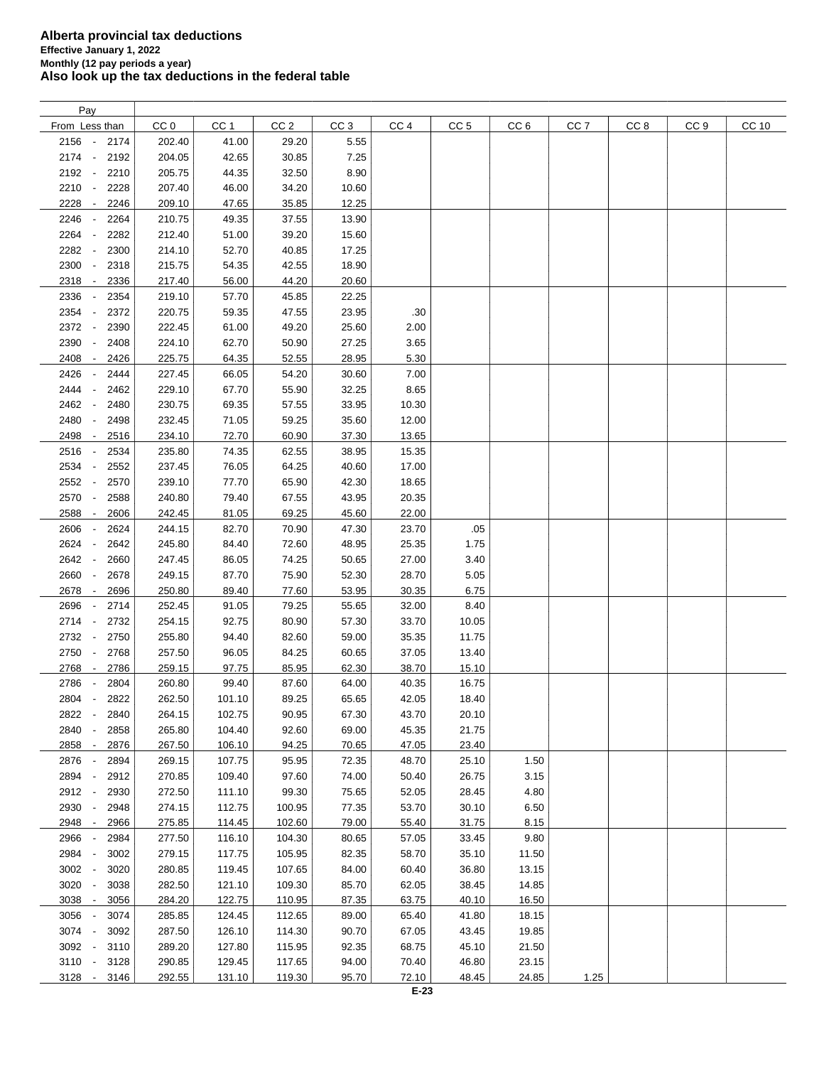| Pay                                      |        |        |                 |                 |                 |                 |                 |                 |                 |                 |       |
|------------------------------------------|--------|--------|-----------------|-----------------|-----------------|-----------------|-----------------|-----------------|-----------------|-----------------|-------|
| From Less than                           | CC 0   | CC 1   | CC <sub>2</sub> | CC <sub>3</sub> | CC <sub>4</sub> | CC <sub>5</sub> | CC <sub>6</sub> | CC <sub>7</sub> | CC <sub>8</sub> | CC <sub>9</sub> | CC 10 |
| 2156 -<br>2174                           | 202.40 | 41.00  | 29.20           | 5.55            |                 |                 |                 |                 |                 |                 |       |
| 2174 -<br>2192                           | 204.05 | 42.65  | 30.85           | 7.25            |                 |                 |                 |                 |                 |                 |       |
| 2192 -<br>2210                           | 205.75 | 44.35  | 32.50           | 8.90            |                 |                 |                 |                 |                 |                 |       |
| 2210<br>2228<br>$\overline{\phantom{a}}$ | 207.40 | 46.00  | 34.20           | 10.60           |                 |                 |                 |                 |                 |                 |       |
| 2228<br>2246<br>$\overline{\phantom{a}}$ | 209.10 | 47.65  | 35.85           | 12.25           |                 |                 |                 |                 |                 |                 |       |
| 2246<br>2264<br>$\overline{\phantom{a}}$ | 210.75 | 49.35  | 37.55           | 13.90           |                 |                 |                 |                 |                 |                 |       |
| ÷,                                       |        |        |                 |                 |                 |                 |                 |                 |                 |                 |       |
| 2264<br>2282                             | 212.40 | 51.00  | 39.20           | 15.60           |                 |                 |                 |                 |                 |                 |       |
| 2282<br>2300<br>$\overline{\phantom{a}}$ | 214.10 | 52.70  | 40.85           | 17.25           |                 |                 |                 |                 |                 |                 |       |
| 2300<br>2318<br>$\overline{\phantom{a}}$ | 215.75 | 54.35  | 42.55           | 18.90           |                 |                 |                 |                 |                 |                 |       |
| 2318<br>2336<br>$\overline{\phantom{a}}$ | 217.40 | 56.00  | 44.20           | 20.60           |                 |                 |                 |                 |                 |                 |       |
| 2336<br>2354                             | 219.10 | 57.70  | 45.85           | 22.25           |                 |                 |                 |                 |                 |                 |       |
| 2354<br>2372<br>$\overline{\phantom{a}}$ | 220.75 | 59.35  | 47.55           | 23.95           | .30             |                 |                 |                 |                 |                 |       |
| 2372<br>2390<br>$\overline{\phantom{a}}$ | 222.45 | 61.00  | 49.20           | 25.60           | 2.00            |                 |                 |                 |                 |                 |       |
| 2390<br>2408                             | 224.10 | 62.70  | 50.90           | 27.25           | 3.65            |                 |                 |                 |                 |                 |       |
| 2408<br>2426<br>$\overline{\phantom{a}}$ | 225.75 | 64.35  | 52.55           | 28.95           | 5.30            |                 |                 |                 |                 |                 |       |
| 2426<br>2444                             | 227.45 | 66.05  | 54.20           | 30.60           | 7.00            |                 |                 |                 |                 |                 |       |
| 2444<br>2462                             | 229.10 | 67.70  | 55.90           | 32.25           | 8.65            |                 |                 |                 |                 |                 |       |
| 2462<br>2480<br>$\overline{\phantom{a}}$ | 230.75 | 69.35  | 57.55           | 33.95           | 10.30           |                 |                 |                 |                 |                 |       |
| 2480<br>2498<br>$\overline{\phantom{a}}$ | 232.45 | 71.05  | 59.25           | 35.60           | 12.00           |                 |                 |                 |                 |                 |       |
| 2498<br>2516<br>$\overline{\phantom{a}}$ | 234.10 | 72.70  | 60.90           | 37.30           | 13.65           |                 |                 |                 |                 |                 |       |
| 2516<br>2534<br>$\sim$                   | 235.80 | 74.35  | 62.55           | 38.95           | 15.35           |                 |                 |                 |                 |                 |       |
| 2534<br>2552<br>$\overline{\phantom{a}}$ | 237.45 | 76.05  | 64.25           | 40.60           | 17.00           |                 |                 |                 |                 |                 |       |
| 2552<br>2570<br>$\overline{\phantom{a}}$ | 239.10 | 77.70  | 65.90           | 42.30           | 18.65           |                 |                 |                 |                 |                 |       |
| 2570 -<br>2588                           | 240.80 | 79.40  | 67.55           | 43.95           | 20.35           |                 |                 |                 |                 |                 |       |
| 2588<br>2606<br>$\overline{\phantom{a}}$ | 242.45 | 81.05  | 69.25           | 45.60           | 22.00           |                 |                 |                 |                 |                 |       |
| 2606<br>2624                             | 244.15 | 82.70  | 70.90           | 47.30           | 23.70           | .05             |                 |                 |                 |                 |       |
| 2624<br>2642                             | 245.80 | 84.40  | 72.60           | 48.95           | 25.35           | 1.75            |                 |                 |                 |                 |       |
|                                          |        |        |                 |                 |                 |                 |                 |                 |                 |                 |       |
| 2642<br>2660                             | 247.45 | 86.05  | 74.25           | 50.65           | 27.00           | 3.40            |                 |                 |                 |                 |       |
| 2660<br>2678<br>$\overline{\phantom{a}}$ | 249.15 | 87.70  | 75.90           | 52.30           | 28.70           | 5.05            |                 |                 |                 |                 |       |
| 2678<br>2696<br>$\overline{\phantom{a}}$ | 250.80 | 89.40  | 77.60           | 53.95           | 30.35           | 6.75            |                 |                 |                 |                 |       |
| 2696<br>2714<br>$\overline{\phantom{a}}$ | 252.45 | 91.05  | 79.25           | 55.65           | 32.00           | 8.40            |                 |                 |                 |                 |       |
| 2714 -<br>2732                           | 254.15 | 92.75  | 80.90           | 57.30           | 33.70           | 10.05           |                 |                 |                 |                 |       |
| 2732 -<br>2750                           | 255.80 | 94.40  | 82.60           | 59.00           | 35.35           | 11.75           |                 |                 |                 |                 |       |
| 2750<br>2768<br>$\overline{\phantom{a}}$ | 257.50 | 96.05  | 84.25           | 60.65           | 37.05           | 13.40           |                 |                 |                 |                 |       |
| 2768<br>2786<br>$\overline{\phantom{a}}$ | 259.15 | 97.75  | 85.95           | 62.30           | 38.70           | 15.10           |                 |                 |                 |                 |       |
| 2786<br>2804                             | 260.80 | 99.40  | 87.60           | 64.00           | 40.35           | 16.75           |                 |                 |                 |                 |       |
| 2804 -<br>2822                           | 262.50 | 101.10 | 89.25           | 65.65           | 42.05           | 18.40           |                 |                 |                 |                 |       |
| 2822<br>2840<br>$\overline{\phantom{a}}$ | 264.15 | 102.75 | 90.95           | 67.30           | 43.70           | 20.10           |                 |                 |                 |                 |       |
| 2840<br>2858                             | 265.80 | 104.40 | 92.60           | 69.00           | 45.35           | 21.75           |                 |                 |                 |                 |       |
| 2858 -<br>2876                           | 267.50 | 106.10 | 94.25           | 70.65           | 47.05           | 23.40           |                 |                 |                 |                 |       |
| 2876 -<br>2894                           | 269.15 | 107.75 | 95.95           | 72.35           | 48.70           | 25.10           | 1.50            |                 |                 |                 |       |
| 2894 -<br>2912                           | 270.85 | 109.40 | 97.60           | 74.00           | 50.40           | 26.75           | 3.15            |                 |                 |                 |       |
| 2912 -<br>2930                           | 272.50 | 111.10 | 99.30           | 75.65           | 52.05           | 28.45           | 4.80            |                 |                 |                 |       |
| 2930 -<br>2948                           | 274.15 | 112.75 | 100.95          | 77.35           | 53.70           | 30.10           | 6.50            |                 |                 |                 |       |
| 2948 -<br>2966                           | 275.85 | 114.45 | 102.60          | 79.00           | 55.40           | 31.75           | 8.15            |                 |                 |                 |       |
| 2966<br>2984                             | 277.50 | 116.10 | 104.30          | 80.65           | 57.05           | 33.45           | 9.80            |                 |                 |                 |       |
| 2984 -<br>3002                           | 279.15 | 117.75 | 105.95          | 82.35           | 58.70           | 35.10           | 11.50           |                 |                 |                 |       |
| 3002 -<br>3020                           | 280.85 | 119.45 | 107.65          | 84.00           | 60.40           | 36.80           | 13.15           |                 |                 |                 |       |
| 3020 -<br>3038                           | 282.50 | 121.10 | 109.30          | 85.70           | 62.05           | 38.45           | 14.85           |                 |                 |                 |       |
| 3038 -<br>3056                           | 284.20 | 122.75 | 110.95          | 87.35           | 63.75           | 40.10           | 16.50           |                 |                 |                 |       |
| 3056 -<br>3074                           | 285.85 | 124.45 | 112.65          | 89.00           | 65.40           | 41.80           | 18.15           |                 |                 |                 |       |
| 3074 -<br>3092                           | 287.50 |        |                 | 90.70           |                 |                 |                 |                 |                 |                 |       |
|                                          |        | 126.10 | 114.30          |                 | 67.05           | 43.45           | 19.85           |                 |                 |                 |       |
| 3092 -<br>3110                           | 289.20 | 127.80 | 115.95          | 92.35           | 68.75           | 45.10           | 21.50           |                 |                 |                 |       |
| $3110 -$<br>3128                         | 290.85 | 129.45 | 117.65          | 94.00           | 70.40           | 46.80           | 23.15           |                 |                 |                 |       |
| $3128 -$<br>3146                         | 292.55 | 131.10 | 119.30          | 95.70           | 72.10           | 48.45           | 24.85           | 1.25            |                 |                 |       |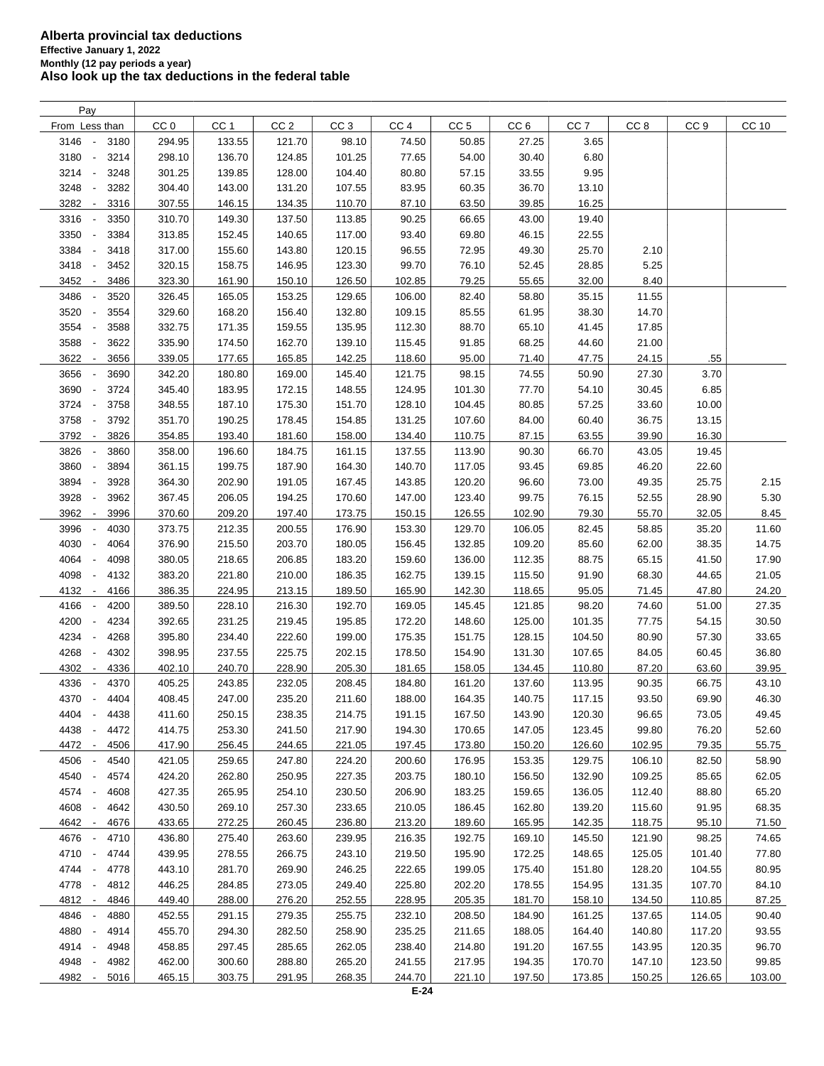| Pay                                      |                 |                 |                 |                 |                 |                 |                 |                 |                 |                 |        |
|------------------------------------------|-----------------|-----------------|-----------------|-----------------|-----------------|-----------------|-----------------|-----------------|-----------------|-----------------|--------|
| From Less than                           | CC <sub>0</sub> | CC <sub>1</sub> | CC <sub>2</sub> | CC <sub>3</sub> | CC <sub>4</sub> | CC <sub>5</sub> | CC <sub>6</sub> | CC <sub>7</sub> | CC <sub>8</sub> | CC <sub>9</sub> | CC 10  |
| 3146<br>3180<br>$\sim$                   | 294.95          | 133.55          | 121.70          | 98.10           | 74.50           | 50.85           | 27.25           | 3.65            |                 |                 |        |
| 3180<br>3214<br>$\overline{\phantom{a}}$ | 298.10          | 136.70          | 124.85          | 101.25          | 77.65           | 54.00           | 30.40           | 6.80            |                 |                 |        |
| 3214<br>3248<br>÷,                       | 301.25          | 139.85          | 128.00          | 104.40          | 80.80           | 57.15           | 33.55           | 9.95            |                 |                 |        |
| 3248<br>3282                             | 304.40          | 143.00          | 131.20          | 107.55          | 83.95           | 60.35           | 36.70           | 13.10           |                 |                 |        |
| 3282<br>3316<br>$\overline{\phantom{a}}$ | 307.55          | 146.15          | 134.35          | 110.70          | 87.10           | 63.50           | 39.85           | 16.25           |                 |                 |        |
| 3316<br>3350<br>$\overline{\phantom{a}}$ | 310.70          | 149.30          | 137.50          | 113.85          | 90.25           | 66.65           | 43.00           | 19.40           |                 |                 |        |
| 3350<br>3384<br>$\overline{\phantom{a}}$ | 313.85          | 152.45          | 140.65          | 117.00          | 93.40           | 69.80           | 46.15           | 22.55           |                 |                 |        |
| 3384<br>3418<br>$\overline{\phantom{a}}$ | 317.00          | 155.60          | 143.80          | 120.15          | 96.55           | 72.95           | 49.30           | 25.70           | 2.10            |                 |        |
| 3418<br>3452<br>$\overline{\phantom{a}}$ | 320.15          | 158.75          | 146.95          | 123.30          | 99.70           | 76.10           | 52.45           | 28.85           | 5.25            |                 |        |
| 3452<br>3486<br>$\overline{\phantom{a}}$ | 323.30          | 161.90          | 150.10          | 126.50          | 102.85          | 79.25           | 55.65           | 32.00           | 8.40            |                 |        |
| 3486<br>3520                             | 326.45          | 165.05          | 153.25          | 129.65          | 106.00          | 82.40           | 58.80           | 35.15           | 11.55           |                 |        |
| 3520<br>3554<br>$\overline{\phantom{a}}$ | 329.60          | 168.20          | 156.40          | 132.80          | 109.15          | 85.55           | 61.95           | 38.30           | 14.70           |                 |        |
| 3554<br>3588<br>÷,                       | 332.75          | 171.35          | 159.55          | 135.95          | 112.30          | 88.70           | 65.10           | 41.45           | 17.85           |                 |        |
| 3588<br>3622                             | 335.90          | 174.50          | 162.70          | 139.10          |                 | 91.85           | 68.25           | 44.60           |                 |                 |        |
|                                          |                 | 177.65          |                 |                 | 115.45          |                 |                 |                 | 21.00           |                 |        |
| 3622<br>3656<br>$\overline{\phantom{a}}$ | 339.05          |                 | 165.85          | 142.25          | 118.60          | 95.00           | 71.40           | 47.75           | 24.15           | .55             |        |
| 3656<br>3690                             | 342.20          | 180.80          | 169.00          | 145.40          | 121.75          | 98.15           | 74.55           | 50.90           | 27.30           | 3.70            |        |
| 3690<br>3724                             | 345.40          | 183.95          | 172.15          | 148.55          | 124.95          | 101.30          | 77.70           | 54.10           | 30.45           | 6.85            |        |
| 3724<br>3758<br>$\overline{\phantom{a}}$ | 348.55          | 187.10          | 175.30          | 151.70          | 128.10          | 104.45          | 80.85           | 57.25           | 33.60           | 10.00           |        |
| 3758<br>3792<br>$\overline{\phantom{a}}$ | 351.70          | 190.25          | 178.45          | 154.85          | 131.25          | 107.60          | 84.00           | 60.40           | 36.75           | 13.15           |        |
| 3792<br>3826<br>$\overline{\phantom{a}}$ | 354.85          | 193.40          | 181.60          | 158.00          | 134.40          | 110.75          | 87.15           | 63.55           | 39.90           | 16.30           |        |
| 3826<br>3860<br>$\overline{\phantom{a}}$ | 358.00          | 196.60          | 184.75          | 161.15          | 137.55          | 113.90          | 90.30           | 66.70           | 43.05           | 19.45           |        |
| 3860<br>3894<br>$\overline{\phantom{a}}$ | 361.15          | 199.75          | 187.90          | 164.30          | 140.70          | 117.05          | 93.45           | 69.85           | 46.20           | 22.60           |        |
| 3894<br>3928<br>$\overline{\phantom{a}}$ | 364.30          | 202.90          | 191.05          | 167.45          | 143.85          | 120.20          | 96.60           | 73.00           | 49.35           | 25.75           | 2.15   |
| 3928<br>3962<br>÷,                       | 367.45          | 206.05          | 194.25          | 170.60          | 147.00          | 123.40          | 99.75           | 76.15           | 52.55           | 28.90           | 5.30   |
| 3962<br>3996<br>$\overline{\phantom{a}}$ | 370.60          | 209.20          | 197.40          | 173.75          | 150.15          | 126.55          | 102.90          | 79.30           | 55.70           | 32.05           | 8.45   |
| 3996<br>4030                             | 373.75          | 212.35          | 200.55          | 176.90          | 153.30          | 129.70          | 106.05          | 82.45           | 58.85           | 35.20           | 11.60  |
| 4030<br>4064<br>÷,                       | 376.90          | 215.50          | 203.70          | 180.05          | 156.45          | 132.85          | 109.20          | 85.60           | 62.00           | 38.35           | 14.75  |
| 4064<br>4098                             | 380.05          | 218.65          | 206.85          | 183.20          | 159.60          | 136.00          | 112.35          | 88.75           | 65.15           | 41.50           | 17.90  |
| 4098<br>4132                             | 383.20          | 221.80          | 210.00          | 186.35          | 162.75          | 139.15          | 115.50          | 91.90           | 68.30           | 44.65           | 21.05  |
| 4132<br>4166<br>$\overline{\phantom{a}}$ | 386.35          | 224.95          | 213.15          | 189.50          | 165.90          | 142.30          | 118.65          | 95.05           | 71.45           | 47.80           | 24.20  |
| 4166<br>4200<br>$\overline{\phantom{a}}$ | 389.50          | 228.10          | 216.30          | 192.70          | 169.05          | 145.45          | 121.85          | 98.20           | 74.60           | 51.00           | 27.35  |
| 4200<br>4234<br>$\overline{\phantom{a}}$ | 392.65          | 231.25          | 219.45          | 195.85          | 172.20          | 148.60          | 125.00          | 101.35          | 77.75           | 54.15           | 30.50  |
| 4234<br>4268<br>$\overline{\phantom{a}}$ | 395.80          | 234.40          | 222.60          | 199.00          | 175.35          | 151.75          | 128.15          | 104.50          | 80.90           | 57.30           | 33.65  |
| 4268<br>4302<br>$\overline{\phantom{a}}$ | 398.95          | 237.55          | 225.75          | 202.15          | 178.50          | 154.90          | 131.30          | 107.65          | 84.05           | 60.45           | 36.80  |
| 4302<br>4336<br>$\overline{\phantom{a}}$ | 402.10          | 240.70          | 228.90          | 205.30          | 181.65          | 158.05          | 134.45          | 110.80          | 87.20           | 63.60           | 39.95  |
| 4336<br>4370                             | 405.25          | 243.85          | 232.05          | 208.45          | 184.80          | 161.20          | 137.60          | 113.95          | 90.35           | 66.75           | 43.10  |
| 4370 -<br>4404                           | 408.45          | 247.00          | 235.20          | 211.60          | 188.00          | 164.35          | 140.75          | 117.15          | 93.50           | 69.90           | 46.30  |
| 4404<br>4438<br>$\overline{\phantom{a}}$ | 411.60          | 250.15          | 238.35          | 214.75          | 191.15          | 167.50          | 143.90          | 120.30          | 96.65           | 73.05           | 49.45  |
| 4438<br>4472                             | 414.75          | 253.30          | 241.50          | 217.90          | 194.30          | 170.65          | 147.05          | 123.45          | 99.80           | 76.20           | 52.60  |
| 4472 -<br>4506                           | 417.90          | 256.45          | 244.65          | 221.05          | 197.45          | 173.80          | 150.20          | 126.60          | 102.95          | 79.35           | 55.75  |
| 4506<br>4540                             | 421.05          | 259.65          | 247.80          | 224.20          | 200.60          | 176.95          | 153.35          | 129.75          | 106.10          | 82.50           | 58.90  |
| 4540<br>4574<br>$\overline{\phantom{a}}$ | 424.20          | 262.80          | 250.95          | 227.35          | 203.75          | 180.10          | 156.50          | 132.90          | 109.25          | 85.65           | 62.05  |
| 4574 -<br>4608                           | 427.35          | 265.95          | 254.10          | 230.50          | 206.90          | 183.25          | 159.65          | 136.05          | 112.40          | 88.80           | 65.20  |
| 4608<br>4642                             | 430.50          | 269.10          | 257.30          | 233.65          | 210.05          | 186.45          | 162.80          | 139.20          | 115.60          | 91.95           | 68.35  |
| 4642<br>4676<br>$\overline{\phantom{a}}$ | 433.65          | 272.25          | 260.45          | 236.80          | 213.20          | 189.60          | 165.95          | 142.35          | 118.75          | 95.10           | 71.50  |
| 4676 -<br>4710                           | 436.80          | 275.40          | 263.60          | 239.95          | 216.35          | 192.75          | 169.10          | 145.50          | 121.90          | 98.25           | 74.65  |
| 4710<br>4744<br>$\overline{\phantom{a}}$ | 439.95          | 278.55          | 266.75          | 243.10          | 219.50          | 195.90          | 172.25          | 148.65          | 125.05          | 101.40          | 77.80  |
| 4744 -<br>4778                           | 443.10          | 281.70          | 269.90          | 246.25          | 222.65          | 199.05          | 175.40          | 151.80          | 128.20          | 104.55          | 80.95  |
| 4778<br>4812<br>$\overline{\phantom{a}}$ | 446.25          | 284.85          | 273.05          | 249.40          | 225.80          | 202.20          | 178.55          | 154.95          | 131.35          | 107.70          | 84.10  |
|                                          | 449.40          |                 |                 |                 |                 |                 |                 |                 |                 |                 |        |
| 4812 -<br>4846<br>4846<br>4880           | 452.55          | 288.00          | 276.20          | 252.55          | 228.95          | 205.35          | 181.70          | 158.10          | 134.50          | 110.85          | 87.25  |
|                                          |                 | 291.15          | 279.35          | 255.75          | 232.10          | 208.50          | 184.90          | 161.25          | 137.65          | 114.05          | 90.40  |
| 4880<br>4914<br>$\overline{\phantom{a}}$ | 455.70          | 294.30          | 282.50          | 258.90          | 235.25          | 211.65          | 188.05          | 164.40          | 140.80          | 117.20          | 93.55  |
| 4914<br>4948                             | 458.85          | 297.45          | 285.65          | 262.05          | 238.40          | 214.80          | 191.20          | 167.55          | 143.95          | 120.35          | 96.70  |
| 4948<br>4982<br>$\overline{\phantom{a}}$ | 462.00          | 300.60          | 288.80          | 265.20          | 241.55          | 217.95          | 194.35          | 170.70          | 147.10          | 123.50          | 99.85  |
| 4982<br>5016<br>$\overline{\phantom{a}}$ | 465.15          | 303.75          | 291.95          | 268.35          | 244.70          | 221.10          | 197.50          | 173.85          | 150.25          | 126.65          | 103.00 |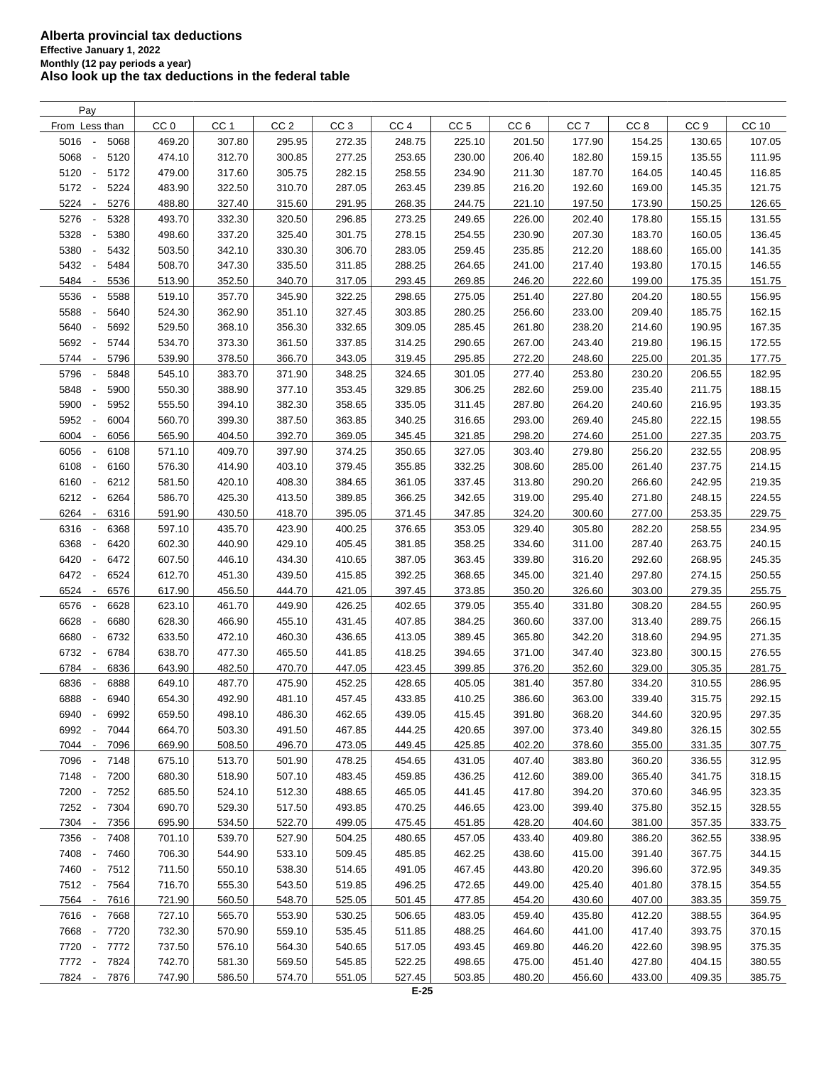| Pay                                      |                 |                 |                 |                 |                 |                 |                 |                 |                 |                 |        |
|------------------------------------------|-----------------|-----------------|-----------------|-----------------|-----------------|-----------------|-----------------|-----------------|-----------------|-----------------|--------|
| From Less than                           | CC <sub>0</sub> | CC <sub>1</sub> | CC <sub>2</sub> | CC <sub>3</sub> | CC <sub>4</sub> | CC <sub>5</sub> | CC <sub>6</sub> | CC <sub>7</sub> | CC <sub>8</sub> | CC <sub>9</sub> | CC 10  |
| 5016<br>5068<br>$\overline{\phantom{a}}$ | 469.20          | 307.80          | 295.95          | 272.35          | 248.75          | 225.10          | 201.50          | 177.90          | 154.25          | 130.65          | 107.05 |
| 5068<br>5120<br>$\overline{\phantom{a}}$ | 474.10          | 312.70          | 300.85          | 277.25          | 253.65          | 230.00          | 206.40          | 182.80          | 159.15          | 135.55          | 111.95 |
| 5120<br>5172<br>$\overline{\phantom{a}}$ | 479.00          | 317.60          | 305.75          | 282.15          | 258.55          | 234.90          | 211.30          | 187.70          | 164.05          | 140.45          | 116.85 |
| 5172<br>5224<br>$\overline{\phantom{a}}$ | 483.90          | 322.50          | 310.70          | 287.05          | 263.45          | 239.85          | 216.20          | 192.60          | 169.00          | 145.35          | 121.75 |
| 5224<br>5276<br>$\overline{\phantom{a}}$ | 488.80          | 327.40          | 315.60          | 291.95          | 268.35          | 244.75          | 221.10          | 197.50          | 173.90          | 150.25          | 126.65 |
| 5276<br>5328<br>$\overline{\phantom{a}}$ | 493.70          | 332.30          | 320.50          | 296.85          | 273.25          | 249.65          | 226.00          | 202.40          | 178.80          | 155.15          | 131.55 |
| 5328<br>5380<br>$\overline{\phantom{a}}$ | 498.60          | 337.20          | 325.40          | 301.75          |                 |                 | 230.90          |                 | 183.70          |                 |        |
|                                          |                 |                 |                 |                 | 278.15          | 254.55          |                 | 207.30          |                 | 160.05          | 136.45 |
| 5380<br>5432<br>$\overline{\phantom{a}}$ | 503.50          | 342.10          | 330.30          | 306.70          | 283.05          | 259.45          | 235.85          | 212.20          | 188.60          | 165.00          | 141.35 |
| 5432<br>5484<br>$\overline{\phantom{a}}$ | 508.70          | 347.30          | 335.50          | 311.85          | 288.25          | 264.65          | 241.00          | 217.40          | 193.80          | 170.15          | 146.55 |
| 5484<br>5536<br>$\overline{\phantom{a}}$ | 513.90          | 352.50          | 340.70          | 317.05          | 293.45          | 269.85          | 246.20          | 222.60          | 199.00          | 175.35          | 151.75 |
| 5536<br>5588                             | 519.10          | 357.70          | 345.90          | 322.25          | 298.65          | 275.05          | 251.40          | 227.80          | 204.20          | 180.55          | 156.95 |
| 5588<br>5640<br>÷,                       | 524.30          | 362.90          | 351.10          | 327.45          | 303.85          | 280.25          | 256.60          | 233.00          | 209.40          | 185.75          | 162.15 |
| 5640<br>5692<br>$\overline{\phantom{a}}$ | 529.50          | 368.10          | 356.30          | 332.65          | 309.05          | 285.45          | 261.80          | 238.20          | 214.60          | 190.95          | 167.35 |
| 5692<br>5744                             | 534.70          | 373.30          | 361.50          | 337.85          | 314.25          | 290.65          | 267.00          | 243.40          | 219.80          | 196.15          | 172.55 |
| 5744<br>5796<br>$\overline{\phantom{a}}$ | 539.90          | 378.50          | 366.70          | 343.05          | 319.45          | 295.85          | 272.20          | 248.60          | 225.00          | 201.35          | 177.75 |
| 5796<br>5848                             | 545.10          | 383.70          | 371.90          | 348.25          | 324.65          | 301.05          | 277.40          | 253.80          | 230.20          | 206.55          | 182.95 |
| 5848<br>5900<br>÷,                       | 550.30          | 388.90          | 377.10          | 353.45          | 329.85          | 306.25          | 282.60          | 259.00          | 235.40          | 211.75          | 188.15 |
| 5900<br>5952<br>$\overline{\phantom{a}}$ | 555.50          | 394.10          | 382.30          | 358.65          | 335.05          | 311.45          | 287.80          | 264.20          | 240.60          | 216.95          | 193.35 |
| 5952<br>6004<br>$\overline{\phantom{a}}$ | 560.70          | 399.30          | 387.50          | 363.85          | 340.25          | 316.65          | 293.00          | 269.40          | 245.80          | 222.15          | 198.55 |
| 6004<br>6056<br>$\overline{\phantom{a}}$ | 565.90          | 404.50          | 392.70          | 369.05          | 345.45          | 321.85          | 298.20          | 274.60          | 251.00          | 227.35          | 203.75 |
| 6056<br>6108<br>$\overline{\phantom{a}}$ | 571.10          | 409.70          | 397.90          | 374.25          | 350.65          | 327.05          | 303.40          | 279.80          | 256.20          | 232.55          | 208.95 |
| 6108<br>6160<br>$\overline{\phantom{a}}$ | 576.30          | 414.90          | 403.10          | 379.45          | 355.85          | 332.25          | 308.60          | 285.00          | 261.40          | 237.75          | 214.15 |
| 6160<br>6212<br>$\sim$                   | 581.50          | 420.10          | 408.30          | 384.65          | 361.05          | 337.45          | 313.80          | 290.20          | 266.60          | 242.95          | 219.35 |
| 6212<br>6264<br>$\overline{\phantom{a}}$ | 586.70          | 425.30          | 413.50          | 389.85          | 366.25          | 342.65          | 319.00          | 295.40          | 271.80          | 248.15          | 224.55 |
| 6264<br>6316<br>$\overline{\phantom{a}}$ | 591.90          | 430.50          | 418.70          | 395.05          | 371.45          | 347.85          | 324.20          | 300.60          | 277.00          | 253.35          | 229.75 |
| 6316<br>6368                             | 597.10          | 435.70          | 423.90          | 400.25          | 376.65          | 353.05          | 329.40          | 305.80          | 282.20          | 258.55          | 234.95 |
| 6368<br>6420<br>$\overline{\phantom{a}}$ | 602.30          | 440.90          | 429.10          | 405.45          | 381.85          | 358.25          | 334.60          | 311.00          | 287.40          | 263.75          | 240.15 |
| 6420<br>6472<br>$\overline{\phantom{a}}$ | 607.50          | 446.10          | 434.30          | 410.65          | 387.05          | 363.45          | 339.80          | 316.20          | 292.60          | 268.95          | 245.35 |
| 6472<br>6524<br>$\overline{\phantom{a}}$ | 612.70          | 451.30          | 439.50          | 415.85          | 392.25          | 368.65          | 345.00          | 321.40          | 297.80          | 274.15          | 250.55 |
|                                          |                 |                 |                 |                 |                 |                 |                 |                 |                 |                 |        |
| 6524<br>6576<br>$\overline{\phantom{a}}$ | 617.90          | 456.50          | 444.70          | 421.05          | 397.45          | 373.85          | 350.20          | 326.60          | 303.00          | 279.35          | 255.75 |
| 6576<br>6628<br>$\overline{\phantom{a}}$ | 623.10          | 461.70          | 449.90          | 426.25          | 402.65          | 379.05          | 355.40          | 331.80          | 308.20          | 284.55          | 260.95 |
| 6628<br>6680<br>$\overline{\phantom{a}}$ | 628.30          | 466.90          | 455.10          | 431.45          | 407.85          | 384.25          | 360.60          | 337.00          | 313.40          | 289.75          | 266.15 |
| 6680<br>6732<br>$\overline{\phantom{a}}$ | 633.50          | 472.10          | 460.30          | 436.65          | 413.05          | 389.45          | 365.80          | 342.20          | 318.60          | 294.95          | 271.35 |
| 6732<br>6784<br>$\overline{\phantom{a}}$ | 638.70          | 477.30          | 465.50          | 441.85          | 418.25          | 394.65          | 371.00          | 347.40          | 323.80          | 300.15          | 276.55 |
| 6784<br>6836<br>$\overline{\phantom{a}}$ | 643.90          | 482.50          | 470.70          | 447.05          | 423.45          | 399.85          | 376.20          | 352.60          | 329.00          | 305.35          | 281.75 |
| 6836<br>6888                             | 649.10          | 487.70          | 475.90          | 452.25          | 428.65          | 405.05          | 381.40          | 357.80          | 334.20          | 310.55          | 286.95 |
| 6888<br>6940<br>$\overline{\phantom{a}}$ | 654.30          | 492.90          | 481.10          | 457.45          | 433.85          | 410.25          | 386.60          | 363.00          | 339.40          | 315.75          | 292.15 |
| 6940<br>6992<br>$\overline{\phantom{a}}$ | 659.50          | 498.10          | 486.30          | 462.65          | 439.05          | 415.45          | 391.80          | 368.20          | 344.60          | 320.95          | 297.35 |
| 6992<br>7044<br>$\overline{\phantom{a}}$ | 664.70          | 503.30          | 491.50          | 467.85          | 444.25          | 420.65          | 397.00          | 373.40          | 349.80          | 326.15          | 302.55 |
| 7044 -<br>7096                           | 669.90          | 508.50          | 496.70          | 473.05          | 449.45          | 425.85          | 402.20          | 378.60          | 355.00          | 331.35          | 307.75 |
| 7096<br>7148                             | 675.10          | 513.70          | 501.90          | 478.25          | 454.65          | 431.05          | 407.40          | 383.80          | 360.20          | 336.55          | 312.95 |
| 7148 -<br>7200                           | 680.30          | 518.90          | 507.10          | 483.45          | 459.85          | 436.25          | 412.60          | 389.00          | 365.40          | 341.75          | 318.15 |
| 7200 -<br>7252                           | 685.50          | 524.10          | 512.30          | 488.65          | 465.05          | 441.45          | 417.80          | 394.20          | 370.60          | 346.95          | 323.35 |
| 7252 -<br>7304                           | 690.70          | 529.30          | 517.50          | 493.85          | 470.25          | 446.65          | 423.00          | 399.40          | 375.80          | 352.15          | 328.55 |
| 7304 -<br>7356                           | 695.90          | 534.50          | 522.70          | 499.05          | 475.45          | 451.85          | 428.20          | 404.60          | 381.00          | 357.35          | 333.75 |
| 7356 -<br>7408                           | 701.10          | 539.70          | 527.90          | 504.25          | 480.65          | 457.05          | 433.40          | 409.80          | 386.20          | 362.55          | 338.95 |
| 7408 -<br>7460                           | 706.30          | 544.90          | 533.10          | 509.45          | 485.85          | 462.25          | 438.60          | 415.00          | 391.40          | 367.75          | 344.15 |
| 7460 -<br>7512                           | 711.50          | 550.10          | 538.30          | 514.65          | 491.05          | 467.45          | 443.80          | 420.20          | 396.60          | 372.95          | 349.35 |
| 7512 -<br>7564                           | 716.70          | 555.30          | 543.50          | 519.85          | 496.25          | 472.65          | 449.00          | 425.40          | 401.80          | 378.15          | 354.55 |
| 7564 -<br>7616                           | 721.90          | 560.50          | 548.70          | 525.05          | 501.45          | 477.85          | 454.20          | 430.60          | 407.00          | 383.35          | 359.75 |
| 7616 -<br>7668                           | 727.10          | 565.70          | 553.90          | 530.25          | 506.65          | 483.05          | 459.40          | 435.80          | 412.20          | 388.55          | 364.95 |
| 7668<br>7720<br>$\overline{\phantom{a}}$ | 732.30          | 570.90          | 559.10          | 535.45          | 511.85          | 488.25          | 464.60          | 441.00          | 417.40          | 393.75          | 370.15 |
| 7720 -<br>7772                           | 737.50          | 576.10          | 564.30          | 540.65          | 517.05          | 493.45          | 469.80          | 446.20          | 422.60          | 398.95          | 375.35 |
| 7772 -<br>7824                           | 742.70          | 581.30          | 569.50          | 545.85          | 522.25          | 498.65          | 475.00          | 451.40          | 427.80          | 404.15          | 380.55 |
| 7824 -<br>7876                           | 747.90          | 586.50          | 574.70          | 551.05          | 527.45          | 503.85          | 480.20          | 456.60          | 433.00          | 409.35          | 385.75 |
|                                          |                 |                 |                 |                 |                 |                 |                 |                 |                 |                 |        |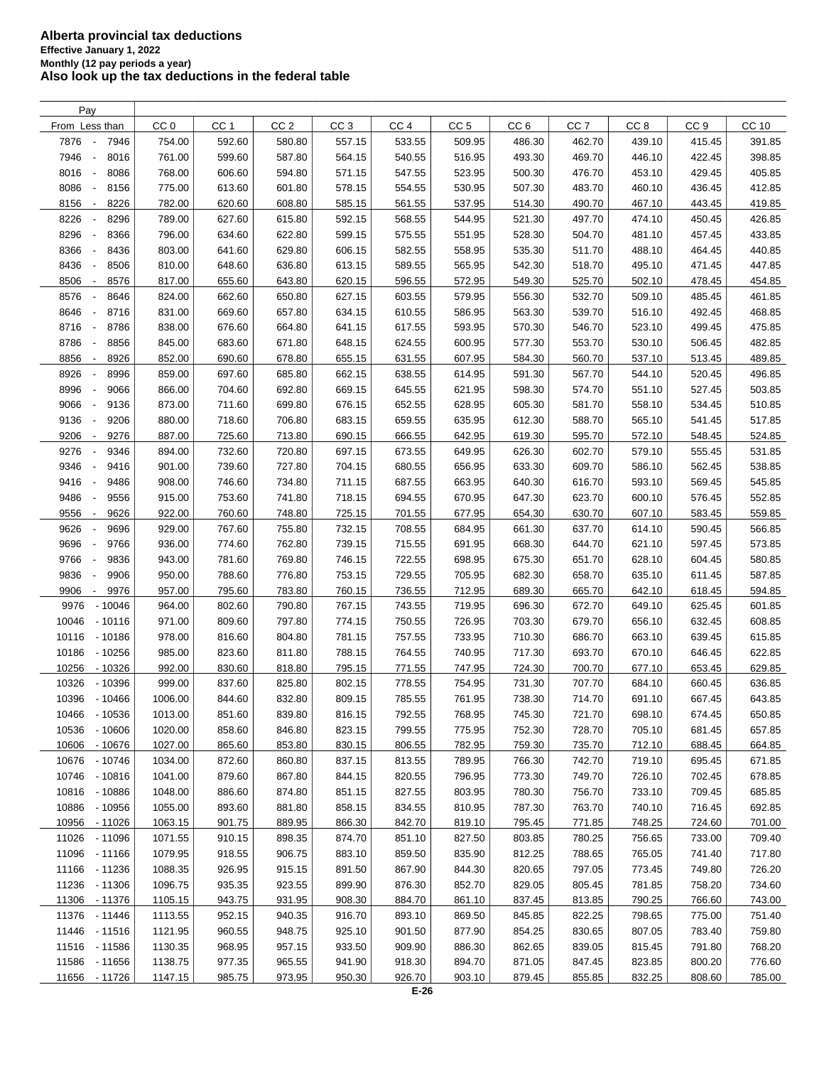| Pay                                      |                 |                 |                 |                 |                 |                 |                 |                 |                 |                 |        |
|------------------------------------------|-----------------|-----------------|-----------------|-----------------|-----------------|-----------------|-----------------|-----------------|-----------------|-----------------|--------|
| From Less than                           | CC <sub>0</sub> | CC <sub>1</sub> | CC <sub>2</sub> | CC <sub>3</sub> | CC <sub>4</sub> | CC <sub>5</sub> | CC <sub>6</sub> | CC <sub>7</sub> | CC <sub>8</sub> | CC <sub>9</sub> | CC 10  |
| 7876<br>7946<br>÷,                       | 754.00          | 592.60          | 580.80          | 557.15          | 533.55          | 509.95          | 486.30          | 462.70          | 439.10          | 415.45          | 391.85 |
| 7946<br>8016<br>$\overline{\phantom{a}}$ | 761.00          | 599.60          | 587.80          | 564.15          | 540.55          | 516.95          | 493.30          | 469.70          | 446.10          | 422.45          | 398.85 |
| 8016<br>8086<br>$\overline{\phantom{a}}$ | 768.00          | 606.60          | 594.80          | 571.15          | 547.55          | 523.95          | 500.30          | 476.70          | 453.10          | 429.45          | 405.85 |
| 8086<br>8156<br>$\overline{\phantom{a}}$ | 775.00          | 613.60          | 601.80          | 578.15          | 554.55          | 530.95          | 507.30          | 483.70          | 460.10          | 436.45          | 412.85 |
| 8156<br>8226<br>$\overline{\phantom{a}}$ | 782.00          | 620.60          | 608.80          | 585.15          | 561.55          | 537.95          | 514.30          | 490.70          | 467.10          | 443.45          | 419.85 |
| 8226<br>8296                             | 789.00          | 627.60          | 615.80          | 592.15          | 568.55          | 544.95          | 521.30          | 497.70          | 474.10          | 450.45          | 426.85 |
|                                          |                 |                 |                 |                 |                 |                 |                 |                 |                 |                 |        |
| 8296<br>8366<br>$\overline{\phantom{a}}$ | 796.00          | 634.60          | 622.80          | 599.15          | 575.55          | 551.95          | 528.30          | 504.70          | 481.10          | 457.45          | 433.85 |
| 8366<br>8436<br>$\overline{\phantom{a}}$ | 803.00          | 641.60          | 629.80          | 606.15          | 582.55          | 558.95          | 535.30          | 511.70          | 488.10          | 464.45          | 440.85 |
| 8436<br>8506<br>$\overline{\phantom{a}}$ | 810.00          | 648.60          | 636.80          | 613.15          | 589.55          | 565.95          | 542.30          | 518.70          | 495.10          | 471.45          | 447.85 |
| 8506<br>8576<br>$\overline{\phantom{a}}$ | 817.00          | 655.60          | 643.80          | 620.15          | 596.55          | 572.95          | 549.30          | 525.70          | 502.10          | 478.45          | 454.85 |
| 8576<br>8646                             | 824.00          | 662.60          | 650.80          | 627.15          | 603.55          | 579.95          | 556.30          | 532.70          | 509.10          | 485.45          | 461.85 |
| 8646<br>8716<br>$\overline{\phantom{a}}$ | 831.00          | 669.60          | 657.80          | 634.15          | 610.55          | 586.95          | 563.30          | 539.70          | 516.10          | 492.45          | 468.85 |
| 8716<br>8786<br>$\overline{\phantom{a}}$ | 838.00          | 676.60          | 664.80          | 641.15          | 617.55          | 593.95          | 570.30          | 546.70          | 523.10          | 499.45          | 475.85 |
| 8786<br>8856<br>÷,                       | 845.00          | 683.60          | 671.80          | 648.15          | 624.55          | 600.95          | 577.30          | 553.70          | 530.10          | 506.45          | 482.85 |
| 8856<br>8926<br>$\overline{\phantom{a}}$ | 852.00          | 690.60          | 678.80          | 655.15          | 631.55          | 607.95          | 584.30          | 560.70          | 537.10          | 513.45          | 489.85 |
| 8926<br>8996                             | 859.00          | 697.60          | 685.80          | 662.15          | 638.55          | 614.95          | 591.30          | 567.70          | 544.10          | 520.45          | 496.85 |
| 8996<br>9066<br>$\overline{\phantom{a}}$ | 866.00          | 704.60          | 692.80          | 669.15          | 645.55          | 621.95          | 598.30          | 574.70          | 551.10          | 527.45          | 503.85 |
| 9066<br>9136<br>$\overline{\phantom{a}}$ | 873.00          | 711.60          | 699.80          | 676.15          | 652.55          | 628.95          | 605.30          | 581.70          | 558.10          | 534.45          | 510.85 |
| 9136<br>9206<br>$\overline{\phantom{a}}$ | 880.00          | 718.60          | 706.80          | 683.15          | 659.55          | 635.95          | 612.30          | 588.70          | 565.10          | 541.45          | 517.85 |
| 9206<br>9276<br>$\overline{\phantom{a}}$ | 887.00          | 725.60          | 713.80          | 690.15          | 666.55          | 642.95          | 619.30          | 595.70          | 572.10          | 548.45          | 524.85 |
| 9276<br>9346<br>$\overline{\phantom{a}}$ | 894.00          | 732.60          | 720.80          | 697.15          | 673.55          | 649.95          | 626.30          | 602.70          | 579.10          | 555.45          | 531.85 |
| 9346<br>9416<br>$\overline{\phantom{a}}$ | 901.00          | 739.60          | 727.80          | 704.15          | 680.55          | 656.95          | 633.30          | 609.70          | 586.10          | 562.45          | 538.85 |
| 9416<br>9486<br>$\overline{\phantom{a}}$ | 908.00          | 746.60          | 734.80          | 711.15          | 687.55          | 663.95          | 640.30          | 616.70          | 593.10          | 569.45          | 545.85 |
| 9486<br>9556                             | 915.00          | 753.60          | 741.80          | 718.15          | 694.55          | 670.95          | 647.30          | 623.70          | 600.10          | 576.45          | 552.85 |
| 9556<br>9626<br>$\overline{\phantom{a}}$ | 922.00          | 760.60          | 748.80          | 725.15          | 701.55          | 677.95          | 654.30          | 630.70          | 607.10          | 583.45          | 559.85 |
| 9626<br>9696                             | 929.00          | 767.60          | 755.80          |                 | 708.55          | 684.95          | 661.30          | 637.70          | 614.10          | 590.45          | 566.85 |
| $\overline{\phantom{a}}$                 |                 |                 |                 | 732.15          |                 |                 |                 |                 |                 |                 |        |
| 9696<br>9766                             | 936.00          | 774.60          | 762.80          | 739.15          | 715.55          | 691.95          | 668.30          | 644.70          | 621.10          | 597.45          | 573.85 |
| 9766<br>9836                             | 943.00          | 781.60          | 769.80          | 746.15          | 722.55          | 698.95          | 675.30          | 651.70          | 628.10          | 604.45          | 580.85 |
| 9836<br>9906<br>$\overline{\phantom{a}}$ | 950.00          | 788.60          | 776.80          | 753.15          | 729.55          | 705.95          | 682.30          | 658.70          | 635.10          | 611.45          | 587.85 |
| 9906<br>9976<br>$\overline{\phantom{a}}$ | 957.00          | 795.60          | 783.80          | 760.15          | 736.55          | 712.95          | 689.30          | 665.70          | 642.10          | 618.45          | 594.85 |
| 9976<br>$-10046$                         | 964.00          | 802.60          | 790.80          | 767.15          | 743.55          | 719.95          | 696.30          | 672.70          | 649.10          | 625.45          | 601.85 |
| 10046<br>$-10116$                        | 971.00          | 809.60          | 797.80          | 774.15          | 750.55          | 726.95          | 703.30          | 679.70          | 656.10          | 632.45          | 608.85 |
| 10116<br>$-10186$                        | 978.00          | 816.60          | 804.80          | 781.15          | 757.55          | 733.95          | 710.30          | 686.70          | 663.10          | 639.45          | 615.85 |
| 10186<br>$-10256$                        | 985.00          | 823.60          | 811.80          | 788.15          | 764.55          | 740.95          | 717.30          | 693.70          | 670.10          | 646.45          | 622.85 |
| 10256<br>$-10326$                        | 992.00          | 830.60          | 818.80          | 795.15          | 771.55          | 747.95          | 724.30          | 700.70          | 677.10          | 653.45          | 629.85 |
| 10326<br>$-10396$                        | 999.00          | 837.60          | 825.80          | 802.15          | 778.55          | 754.95          | 731.30          | 707.70          | 684.10          | 660.45          | 636.85 |
| 10396<br>$-10466$                        | 1006.00         | 844.60          | 832.80          | 809.15          | 785.55          | 761.95          | 738.30          | 714.70          | 691.10          | 667.45          | 643.85 |
| $-10536$<br>10466                        | 1013.00         | 851.60          | 839.80          | 816.15          | 792.55          | 768.95          | 745.30          | 721.70          | 698.10          | 674.45          | 650.85 |
| 10536<br>$-10606$                        | 1020.00         | 858.60          | 846.80          | 823.15          | 799.55          | 775.95          | 752.30          | 728.70          | 705.10          | 681.45          | 657.85 |
| 10606<br>- 10676                         | 1027.00         | 865.60          | 853.80          | 830.15          | 806.55          | 782.95          | 759.30          | 735.70          | 712.10          | 688.45          | 664.85 |
| 10676<br>- 10746                         | 1034.00         | 872.60          | 860.80          | 837.15          | 813.55          | 789.95          | 766.30          | 742.70          | 719.10          | 695.45          | 671.85 |
| 10746<br>- 10816                         | 1041.00         | 879.60          | 867.80          | 844.15          | 820.55          | 796.95          | 773.30          | 749.70          | 726.10          | 702.45          | 678.85 |
| 10816<br>- 10886                         | 1048.00         | 886.60          | 874.80          | 851.15          | 827.55          | 803.95          | 780.30          | 756.70          | 733.10          | 709.45          | 685.85 |
| 10886<br>$-10956$                        | 1055.00         | 893.60          | 881.80          | 858.15          | 834.55          | 810.95          | 787.30          | 763.70          | 740.10          | 716.45          | 692.85 |
| 10956<br>- 11026                         | 1063.15         | 901.75          | 889.95          | 866.30          | 842.70          | 819.10          | 795.45          | 771.85          | 748.25          | 724.60          | 701.00 |
| 11026<br>- 11096                         | 1071.55         | 910.15          | 898.35          | 874.70          | 851.10          | 827.50          | 803.85          | 780.25          | 756.65          | 733.00          | 709.40 |
| 11096<br>$-11166$                        | 1079.95         | 918.55          | 906.75          | 883.10          | 859.50          | 835.90          | 812.25          | 788.65          | 765.05          | 741.40          | 717.80 |
| 11166<br>- 11236                         | 1088.35         | 926.95          | 915.15          | 891.50          | 867.90          | 844.30          | 820.65          | 797.05          | 773.45          | 749.80          | 726.20 |
|                                          |                 |                 |                 |                 |                 |                 |                 |                 |                 |                 |        |
| 11236 - 11306                            | 1096.75         | 935.35          | 923.55          | 899.90          | 876.30          | 852.70          | 829.05          | 805.45          | 781.85          | 758.20          | 734.60 |
| 11306 - 11376                            | 1105.15         | 943.75          | 931.95          | 908.30          | 884.70          | 861.10          | 837.45          | 813.85          | 790.25          | 766.60          | 743.00 |
| 11376<br>- 11446                         | 1113.55         | 952.15          | 940.35          | 916.70          | 893.10          | 869.50          | 845.85          | 822.25          | 798.65          | 775.00          | 751.40 |
| 11446 - 11516                            | 1121.95         | 960.55          | 948.75          | 925.10          | 901.50          | 877.90          | 854.25          | 830.65          | 807.05          | 783.40          | 759.80 |
| 11516 - 11586                            | 1130.35         | 968.95          | 957.15          | 933.50          | 909.90          | 886.30          | 862.65          | 839.05          | 815.45          | 791.80          | 768.20 |
| 11586<br>- 11656                         | 1138.75         | 977.35          | 965.55          | 941.90          | 918.30          | 894.70          | 871.05          | 847.45          | 823.85          | 800.20          | 776.60 |
| 11656 - 11726                            | 1147.15         | 985.75          | 973.95          | 950.30          | 926.70          | 903.10          | 879.45          | 855.85          | 832.25          | 808.60          | 785.00 |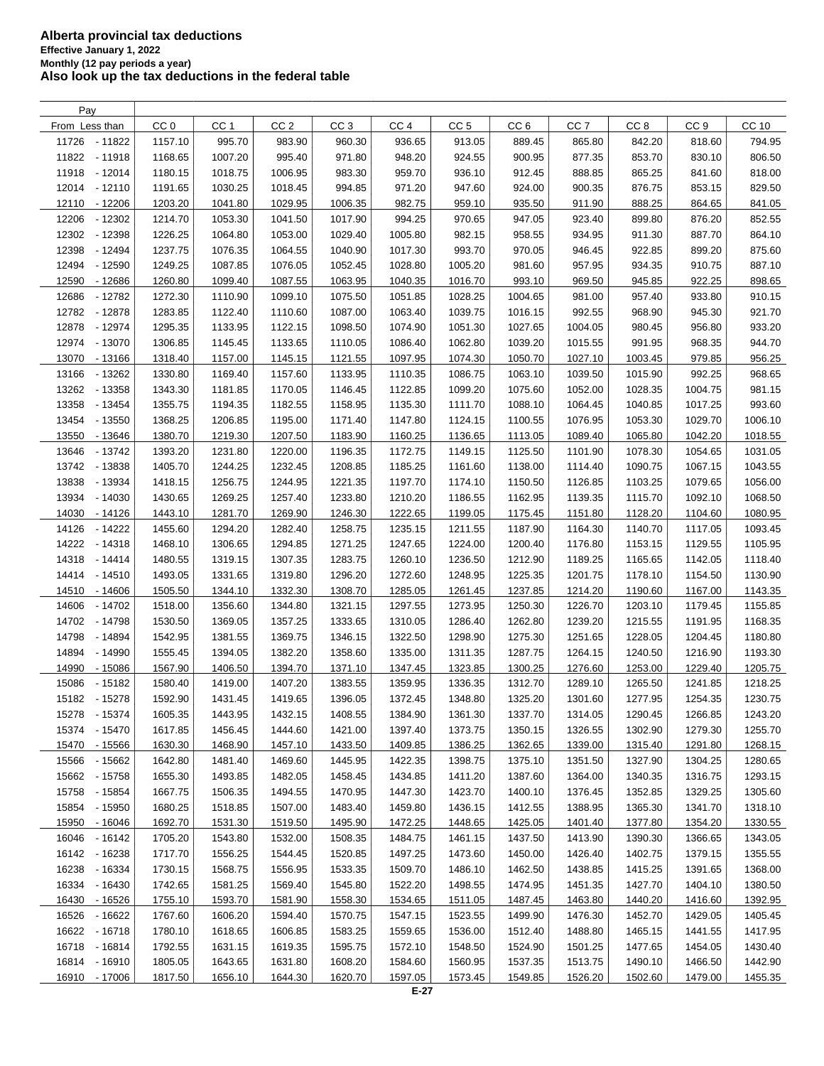| Pay               |                 |                 |                 |                 |                 |                 |                    |                    |                 |                    |         |
|-------------------|-----------------|-----------------|-----------------|-----------------|-----------------|-----------------|--------------------|--------------------|-----------------|--------------------|---------|
| From Less than    | CC <sub>0</sub> | CC <sub>1</sub> | CC <sub>2</sub> | CC <sub>3</sub> | CC <sub>4</sub> | CC <sub>5</sub> | CC <sub>6</sub>    | CC <sub>7</sub>    | CC <sub>8</sub> | CC <sub>9</sub>    | CC 10   |
| 11726<br>$-11822$ | 1157.10         | 995.70          | 983.90          | 960.30          | 936.65          | 913.05          | 889.45             | 865.80             | 842.20          | 818.60             | 794.95  |
| 11822 - 11918     | 1168.65         | 1007.20         | 995.40          | 971.80          | 948.20          | 924.55          | 900.95             | 877.35             | 853.70          | 830.10             | 806.50  |
| 11918 - 12014     | 1180.15         | 1018.75         | 1006.95         | 983.30          | 959.70          | 936.10          | 912.45             | 888.85             | 865.25          | 841.60             | 818.00  |
| 12014 - 12110     | 1191.65         | 1030.25         | 1018.45         | 994.85          | 971.20          | 947.60          | 924.00             | 900.35             | 876.75          | 853.15             | 829.50  |
| 12110<br>- 12206  | 1203.20         | 1041.80         | 1029.95         | 1006.35         | 982.75          | 959.10          | 935.50             | 911.90             | 888.25          | 864.65             | 841.05  |
| 12206<br>$-12302$ | 1214.70         | 1053.30         | 1041.50         | 1017.90         | 994.25          | 970.65          | 947.05             | 923.40             | 899.80          | 876.20             | 852.55  |
| 12302             |                 |                 |                 |                 |                 |                 | 958.55             | 934.95             |                 |                    |         |
| $-12398$          | 1226.25         | 1064.80         | 1053.00         | 1029.40         | 1005.80         | 982.15          |                    |                    | 911.30          | 887.70             | 864.10  |
| 12398<br>$-12494$ | 1237.75         | 1076.35         | 1064.55         | 1040.90         | 1017.30         | 993.70          | 970.05             | 946.45             | 922.85          | 899.20             | 875.60  |
| 12494<br>$-12590$ | 1249.25         | 1087.85         | 1076.05         | 1052.45         | 1028.80         | 1005.20         | 981.60             | 957.95             | 934.35          | 910.75             | 887.10  |
| 12590<br>$-12686$ | 1260.80         | 1099.40         | 1087.55         | 1063.95         | 1040.35         | 1016.70         | 993.10             | 969.50             | 945.85          | 922.25             | 898.65  |
| 12686<br>$-12782$ | 1272.30         | 1110.90         | 1099.10         | 1075.50         | 1051.85         | 1028.25         | 1004.65            | 981.00             | 957.40          | 933.80             | 910.15  |
| 12782<br>- 12878  | 1283.85         | 1122.40         | 1110.60         | 1087.00         | 1063.40         | 1039.75         | 1016.15            | 992.55             | 968.90          | 945.30             | 921.70  |
| 12878<br>- 12974  | 1295.35         | 1133.95         | 1122.15         | 1098.50         | 1074.90         | 1051.30         | 1027.65            | 1004.05            | 980.45          | 956.80             | 933.20  |
| 12974 - 13070     | 1306.85         | 1145.45         | 1133.65         | 1110.05         | 1086.40         | 1062.80         | 1039.20            | 1015.55            | 991.95          | 968.35             | 944.70  |
| 13070 - 13166     | 1318.40         | 1157.00         | 1145.15         | 1121.55         | 1097.95         | 1074.30         | 1050.70            | 1027.10            | 1003.45         | 979.85             | 956.25  |
| 13166<br>- 13262  | 1330.80         | 1169.40         | 1157.60         | 1133.95         | 1110.35         | 1086.75         | 1063.10            | 1039.50            | 1015.90         | 992.25             | 968.65  |
| 13262<br>$-13358$ | 1343.30         | 1181.85         | 1170.05         | 1146.45         | 1122.85         | 1099.20         | 1075.60            | 1052.00            | 1028.35         | 1004.75            | 981.15  |
| 13358<br>$-13454$ | 1355.75         | 1194.35         | 1182.55         | 1158.95         | 1135.30         | 1111.70         | 1088.10            | 1064.45            | 1040.85         | 1017.25            | 993.60  |
| 13454<br>$-13550$ | 1368.25         | 1206.85         | 1195.00         | 1171.40         | 1147.80         | 1124.15         | 1100.55            | 1076.95            | 1053.30         | 1029.70            | 1006.10 |
| 13550<br>$-13646$ | 1380.70         | 1219.30         | 1207.50         | 1183.90         | 1160.25         | 1136.65         | 1113.05            | 1089.40            | 1065.80         | 1042.20            | 1018.55 |
| 13646<br>- 13742  | 1393.20         | 1231.80         | 1220.00         | 1196.35         | 1172.75         | 1149.15         | 1125.50            | 1101.90            | 1078.30         | 1054.65            | 1031.05 |
| 13742<br>- 13838  | 1405.70         | 1244.25         | 1232.45         | 1208.85         | 1185.25         | 1161.60         | 1138.00            | 1114.40            | 1090.75         | 1067.15            | 1043.55 |
| 13838<br>- 13934  | 1418.15         | 1256.75         | 1244.95         | 1221.35         | 1197.70         | 1174.10         | 1150.50            | 1126.85            | 1103.25         | 1079.65            | 1056.00 |
| 13934<br>$-14030$ | 1430.65         | 1269.25         | 1257.40         | 1233.80         | 1210.20         | 1186.55         | 1162.95            | 1139.35            | 1115.70         | 1092.10            | 1068.50 |
| 14030<br>$-14126$ | 1443.10         | 1281.70         | 1269.90         | 1246.30         | 1222.65         | 1199.05         | 1175.45            | 1151.80            | 1128.20         | 1104.60            | 1080.95 |
| 14126<br>$-14222$ | 1455.60         | 1294.20         | 1282.40         | 1258.75         | 1235.15         | 1211.55         | 1187.90            | 1164.30            | 1140.70         | 1117.05            | 1093.45 |
| 14222<br>- 14318  | 1468.10         | 1306.65         | 1294.85         | 1271.25         | 1247.65         | 1224.00         | 1200.40            | 1176.80            | 1153.15         | 1129.55            | 1105.95 |
| 14318<br>- 14414  | 1480.55         | 1319.15         | 1307.35         | 1283.75         | 1260.10         | 1236.50         | 1212.90            | 1189.25            | 1165.65         | 1142.05            | 1118.40 |
| 14414<br>$-14510$ | 1493.05         | 1331.65         | 1319.80         | 1296.20         | 1272.60         | 1248.95         | 1225.35            | 1201.75            | 1178.10         | 1154.50            | 1130.90 |
|                   |                 |                 |                 |                 |                 |                 |                    |                    |                 |                    |         |
| 14510<br>$-14606$ | 1505.50         | 1344.10         | 1332.30         | 1308.70         | 1285.05         | 1261.45         | 1237.85            | 1214.20            | 1190.60         | 1167.00            | 1143.35 |
| 14606<br>$-14702$ | 1518.00         | 1356.60         | 1344.80         | 1321.15         | 1297.55         | 1273.95         | 1250.30            | 1226.70            | 1203.10         | 1179.45            | 1155.85 |
| 14702<br>- 14798  | 1530.50         | 1369.05         | 1357.25         | 1333.65         | 1310.05         | 1286.40         | 1262.80            | 1239.20            | 1215.55         | 1191.95            | 1168.35 |
| 14798<br>- 14894  | 1542.95         | 1381.55         | 1369.75         | 1346.15         | 1322.50         | 1298.90         | 1275.30            | 1251.65            | 1228.05         | 1204.45            | 1180.80 |
| 14894<br>- 14990  | 1555.45         | 1394.05         | 1382.20         | 1358.60         | 1335.00         | 1311.35         | 1287.75            | 1264.15            | 1240.50         | 1216.90            | 1193.30 |
| 14990<br>$-15086$ | 1567.90         | 1406.50         | 1394.70         | 1371.10         | 1347.45         | 1323.85         | 1300.25            | 1276.60            | 1253.00         | 1229.40            | 1205.75 |
| 15086<br>$-15182$ | 1580.40         | 1419.00         | 1407.20         | 1383.55         | 1359.95         | 1336.35         | 1312.70            | 1289.10            | 1265.50         | 1241.85            | 1218.25 |
| 15182 - 15278     | 1592.90         | 1431.45         | 1419.65         | 1396.05         | 1372.45         | 1348.80         | 1325.20            | 1301.60            | 1277.95         | 1254.35            | 1230.75 |
| 15278 - 15374     | 1605.35         | 1443.95         | 1432.15         | 1408.55         | 1384.90         | 1361.30         | 1337.70            | 1314.05            | 1290.45         | 1266.85            | 1243.20 |
| 15374 - 15470     | 1617.85         | 1456.45         | 1444.60         | 1421.00         | 1397.40         | 1373.75         | 1350.15            | 1326.55            | 1302.90         | 1279.30            | 1255.70 |
| 15470 - 15566     | 1630.30         | 1468.90         | 1457.10         | 1433.50         | 1409.85         | 1386.25         | 1362.65            | 1339.00            | 1315.40         | 1291.80            | 1268.15 |
| 15566 - 15662     | 1642.80         | 1481.40         | 1469.60         | 1445.95         | 1422.35         | 1398.75         | 1375.10            | 1351.50            | 1327.90         | 1304.25            | 1280.65 |
| 15662 - 15758     | 1655.30         | 1493.85         | 1482.05         | 1458.45         | 1434.85         | 1411.20         | 1387.60            | 1364.00            | 1340.35         | 1316.75            | 1293.15 |
| 15758 - 15854     | 1667.75         | 1506.35         | 1494.55         | 1470.95         | 1447.30         | 1423.70         | 1400.10            | 1376.45            | 1352.85         | 1329.25            | 1305.60 |
| 15854 - 15950     | 1680.25         | 1518.85         | 1507.00         | 1483.40         | 1459.80         | 1436.15         | 1412.55            | 1388.95            | 1365.30         | 1341.70            | 1318.10 |
| 15950<br>- 16046  | 1692.70         | 1531.30         | 1519.50         | 1495.90         | 1472.25         | 1448.65         | 1425.05            | 1401.40            | 1377.80         | 1354.20            | 1330.55 |
| 16046 - 16142     | 1705.20         | 1543.80         | 1532.00         | 1508.35         | 1484.75         | 1461.15         | 1437.50            | 1413.90            | 1390.30         | 1366.65            | 1343.05 |
| 16142 - 16238     | 1717.70         | 1556.25         | 1544.45         | 1520.85         | 1497.25         | 1473.60         | 1450.00            | 1426.40            | 1402.75         | 1379.15            | 1355.55 |
| 16238 - 16334     | 1730.15         | 1568.75         | 1556.95         | 1533.35         | 1509.70         | 1486.10         | 1462.50            | 1438.85            | 1415.25         | 1391.65            | 1368.00 |
| 16334 - 16430     | 1742.65         | 1581.25         | 1569.40         | 1545.80         | 1522.20         | 1498.55         | 1474.95            | 1451.35            | 1427.70         | 1404.10            | 1380.50 |
| 16430 - 16526     | 1755.10         | 1593.70         | 1581.90         | 1558.30         | 1534.65         | 1511.05         | 1487.45            | 1463.80            | 1440.20         | 1416.60            | 1392.95 |
| 16526 - 16622     | 1767.60         | 1606.20         | 1594.40         | 1570.75         | 1547.15         | 1523.55         | 1499.90            | 1476.30            | 1452.70         | 1429.05            | 1405.45 |
| 16622 - 16718     | 1780.10         | 1618.65         | 1606.85         | 1583.25         | 1559.65         | 1536.00         | 1512.40            | 1488.80            | 1465.15         | 1441.55            | 1417.95 |
| 16718 - 16814     | 1792.55         | 1631.15         | 1619.35         | 1595.75         | 1572.10         | 1548.50         |                    |                    | 1477.65         |                    | 1430.40 |
| 16814 - 16910     | 1805.05         | 1643.65         | 1631.80         | 1608.20         | 1584.60         | 1560.95         | 1524.90<br>1537.35 | 1501.25<br>1513.75 | 1490.10         | 1454.05<br>1466.50 | 1442.90 |
|                   |                 |                 |                 |                 |                 |                 |                    |                    |                 |                    |         |
| 16910 - 17006     | 1817.50         | 1656.10         | 1644.30         | 1620.70         | 1597.05         | 1573.45         | 1549.85            | 1526.20            | 1502.60         | 1479.00            | 1455.35 |